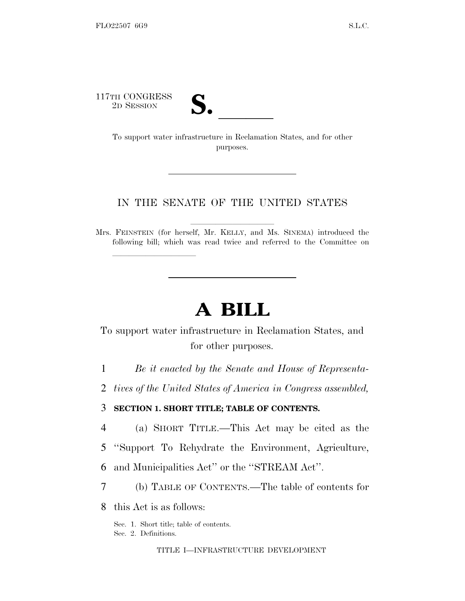117TH CONGRESS

lla se al constituit de la constituit de la constituit de la constituit de la constituit de la constituit de l<br>La constituit de la constituit de la constituit de la constituit de la constituit de la constituit de la const

TH CONGRESS<br>
2D SESSION<br>
To support water infrastructure in Reclamation States, and for other purposes.

## IN THE SENATE OF THE UNITED STATES

Mrs. FEINSTEIN (for herself, Mr. KELLY, and Ms. SINEMA) introduced the following bill; which was read twice and referred to the Committee on

# **A BILL**

To support water infrastructure in Reclamation States, and for other purposes.

1 *Be it enacted by the Senate and House of Representa-*

2 *tives of the United States of America in Congress assembled,*

3 **SECTION 1. SHORT TITLE; TABLE OF CONTENTS.**

4 (a) SHORT TITLE.—This Act may be cited as the

5 ''Support To Rehydrate the Environment, Agriculture,

6 and Municipalities Act'' or the ''STREAM Act''.

7 (b) TABLE OF CONTENTS.—The table of contents for

8 this Act is as follows:

Sec. 1. Short title; table of contents. Sec. 2. Definitions.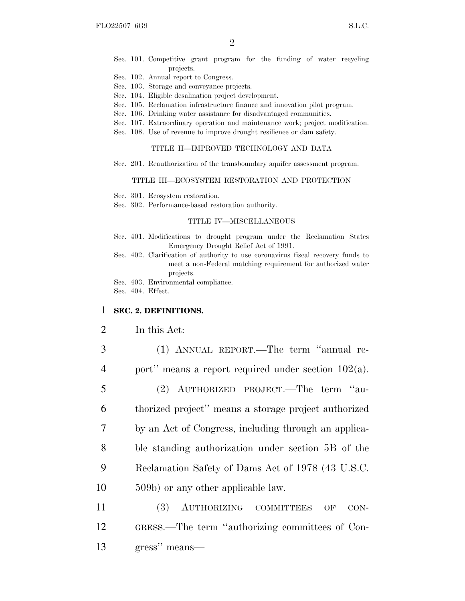- Sec. 101. Competitive grant program for the funding of water recycling projects.
- Sec. 102. Annual report to Congress.
- Sec. 103. Storage and conveyance projects.
- Sec. 104. Eligible desalination project development.
- Sec. 105. Reclamation infrastructure finance and innovation pilot program.
- Sec. 106. Drinking water assistance for disadvantaged communities.
- Sec. 107. Extraordinary operation and maintenance work; project modification.
- Sec. 108. Use of revenue to improve drought resilience or dam safety.

#### TITLE II—IMPROVED TECHNOLOGY AND DATA

Sec. 201. Reauthorization of the transboundary aquifer assessment program.

#### TITLE III—ECOSYSTEM RESTORATION AND PROTECTION

- Sec. 301. Ecosystem restoration.
- Sec. 302. Performance-based restoration authority.

## TITLE IV—MISCELLANEOUS

- Sec. 401. Modifications to drought program under the Reclamation States Emergency Drought Relief Act of 1991.
- Sec. 402. Clarification of authority to use coronavirus fiscal recovery funds to meet a non-Federal matching requirement for authorized water projects.
- Sec. 403. Environmental compliance.

Sec. 404. Effect.

### 1 **SEC. 2. DEFINITIONS.**

- 2 In this Act:
- 3 (1) ANNUAL REPORT.—The term ''annual re-4 port'' means a report required under section 102(a).
- 5 (2) AUTHORIZED PROJECT.—The term ''au-6 thorized project'' means a storage project authorized 7 by an Act of Congress, including through an applica-8 ble standing authorization under section 5B of the 9 Reclamation Safety of Dams Act of 1978 (43 U.S.C. 10 509b) or any other applicable law.
- 11 (3) AUTHORIZING COMMITTEES OF CON-12 GRESS.—The term ''authorizing committees of Con-13 gress'' means—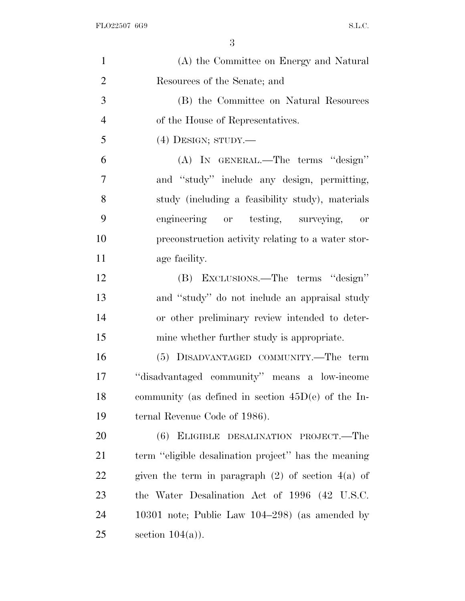| $\mathbf{1}$   | (A) the Committee on Energy and Natural                |
|----------------|--------------------------------------------------------|
| $\overline{2}$ | Resources of the Senate; and                           |
| 3              | (B) the Committee on Natural Resources                 |
| $\overline{4}$ | of the House of Representatives.                       |
| 5              | $(4)$ DESIGN; STUDY.—                                  |
| 6              | (A) IN GENERAL.—The terms "design"                     |
| 7              | and "study" include any design, permitting,            |
| 8              | study (including a feasibility study), materials       |
| 9              | engineering or testing, surveying,<br>or               |
| 10             | preconstruction activity relating to a water stor-     |
| 11             | age facility.                                          |
| 12             | (B) EXCLUSIONS.—The terms "design"                     |
| 13             | and "study" do not include an appraisal study          |
| 14             | or other preliminary review intended to deter-         |
| 15             | mine whether further study is appropriate.             |
| 16             | (5) DISADVANTAGED COMMUNITY.—The term                  |
| 17             | "disadvantaged community" means a low-income           |
| 18             | community (as defined in section $45D(e)$ of the In-   |
| 19             | ternal Revenue Code of 1986).                          |
| 20             | (6) ELIGIBLE DESALINATION PROJECT.—The                 |
| 21             | term "eligible desalination project" has the meaning   |
| 22             | given the term in paragraph $(2)$ of section $4(a)$ of |
| 23             | the Water Desalination Act of 1996 (42 U.S.C.          |
| 24             | 10301 note; Public Law $104-298$ (as amended by        |
| 25             | section $104(a)$ ).                                    |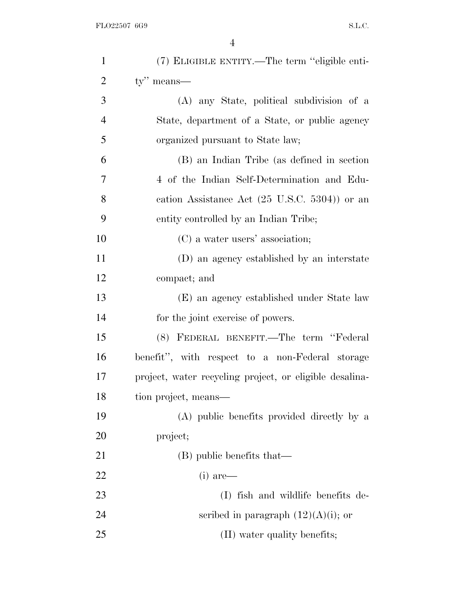| $\mathbf{1}$   | (7) ELIGIBLE ENTITY.—The term "eligible enti-           |
|----------------|---------------------------------------------------------|
| $\overline{2}$ | ty" means—                                              |
| 3              | (A) any State, political subdivision of a               |
| $\overline{4}$ | State, department of a State, or public agency          |
| 5              | organized pursuant to State law;                        |
| 6              | (B) an Indian Tribe (as defined in section              |
| 7              | 4 of the Indian Self-Determination and Edu-             |
| 8              | cation Assistance Act $(25 \text{ U.S.C. } 5304)$ or an |
| 9              | entity controlled by an Indian Tribe;                   |
| 10             | (C) a water users' association;                         |
| 11             | (D) an agency established by an interstate              |
| 12             | compact; and                                            |
| 13             | (E) an agency established under State law               |
| 14             | for the joint exercise of powers.                       |
| 15             | (8) FEDERAL BENEFIT.—The term "Federal                  |
| 16             | benefit", with respect to a non-Federal storage         |
| 17             | project, water recycling project, or eligible desalina- |
| 18             | tion project, means—                                    |
| 19             | (A) public benefits provided directly by a              |
| 20             | project;                                                |
| 21             | (B) public benefits that—                               |
| 22             | $(i)$ are—                                              |
| 23             | (I) fish and wildlife benefits de-                      |
| 24             | scribed in paragraph $(12)(A)(i)$ ; or                  |
| 25             | (II) water quality benefits;                            |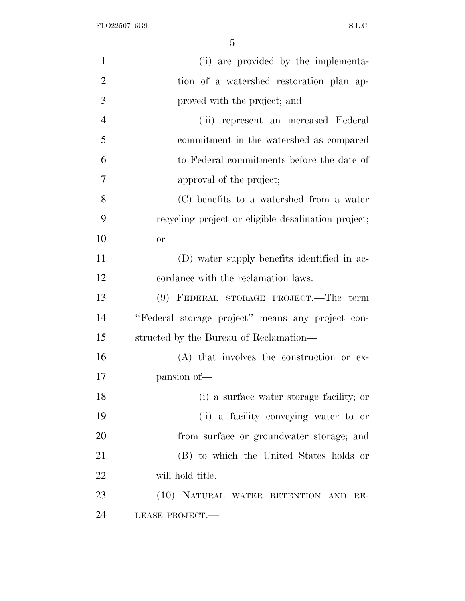FLO22507 6G9 S.L.C.

| $\mathbf{1}$   | (ii) are provided by the implementa-                |
|----------------|-----------------------------------------------------|
| $\overline{2}$ | tion of a watershed restoration plan ap-            |
| 3              | proved with the project; and                        |
| $\overline{4}$ | (iii) represent an increased Federal                |
| 5              | commitment in the watershed as compared             |
| 6              | to Federal commitments before the date of           |
| 7              | approval of the project;                            |
| 8              | (C) benefits to a watershed from a water            |
| 9              | recycling project or eligible desalination project; |
| 10             | <b>or</b>                                           |
| 11             | (D) water supply benefits identified in ac-         |
| 12             | cordance with the reclamation laws.                 |
| 13             | (9) FEDERAL STORAGE PROJECT.—The term               |
| 14             | "Federal storage project" means any project con-    |
| 15             | structed by the Bureau of Reclamation—              |
| 16             | (A) that involves the construction or ex-           |
| 17             | pansion of-                                         |
| 18             | (i) a surface water storage facility; or            |
| 19             | (ii) a facility conveying water to or               |
| 20             | from surface or groundwater storage; and            |
| 21             | (B) to which the United States holds or             |
| 22             | will hold title.                                    |
| 23             | (10) NATURAL WATER RETENTION AND RE-                |
| 24             | LEASE PROJECT.                                      |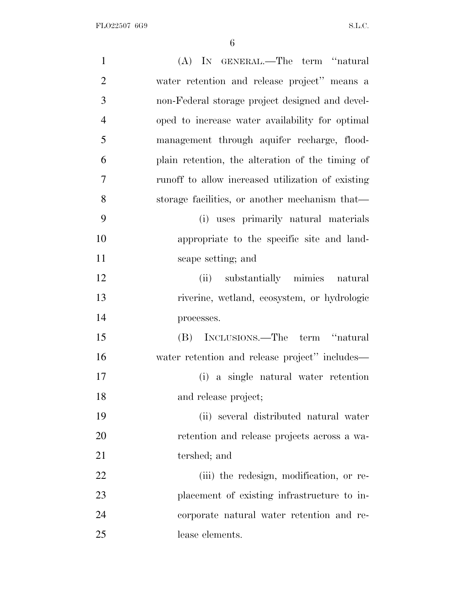| $\mathbf{1}$   | (A) IN GENERAL.—The term "natural                 |
|----------------|---------------------------------------------------|
| $\overline{2}$ | water retention and release project" means a      |
| 3              | non-Federal storage project designed and devel-   |
| $\overline{4}$ | oped to increase water availability for optimal   |
| 5              | management through aquifer recharge, flood-       |
| 6              | plain retention, the alteration of the timing of  |
| 7              | runoff to allow increased utilization of existing |
| 8              | storage facilities, or another mechanism that—    |
| 9              | (i) uses primarily natural materials              |
| 10             | appropriate to the specific site and land-        |
| 11             | scape setting; and                                |
| 12             | (ii) substantially mimics natural                 |
| 13             | riverine, wetland, ecosystem, or hydrologic       |
| 14             | processes.                                        |
| 15             | (B) INCLUSIONS.—The term "natural                 |
| 16             | water retention and release project" includes—    |
| 17             | (i) a single natural water retention              |
| 18             | and release project;                              |
| 19             | (ii) several distributed natural water            |
| 20             | retention and release projects across a wa-       |
| 21             | tershed; and                                      |
| 22             | (iii) the redesign, modification, or re-          |
| 23             | placement of existing infrastructure to in-       |
| 24             | corporate natural water retention and re-         |
| 25             | lease elements.                                   |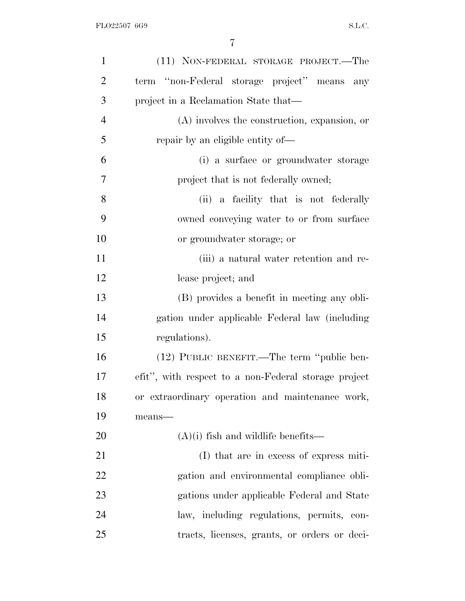| $\mathbf{1}$   | (11) NON-FEDERAL STORAGE PROJECT.—The                |
|----------------|------------------------------------------------------|
| $\overline{2}$ | term "non-Federal storage project" means any         |
| 3              | project in a Reclamation State that—                 |
| $\overline{4}$ | $(A)$ involves the construction, expansion, or       |
| 5              | repair by an eligible entity of—                     |
| 6              | (i) a surface or groundwater storage                 |
| $\tau$         | project that is not federally owned;                 |
| 8              | (ii) a facility that is not federally                |
| 9              | owned conveying water to or from surface             |
| 10             | or groundwater storage; or                           |
| 11             | (iii) a natural water retention and re-              |
| 12             | lease project; and                                   |
| 13             | (B) provides a benefit in meeting any obli-          |
| 14             | gation under applicable Federal law (including       |
| 15             | regulations).                                        |
| 16             | (12) PUBLIC BENEFIT.—The term "public ben-           |
| 17             | efit", with respect to a non-Federal storage project |
| 18             | or extraordinary operation and maintenance work,     |
| 19             | means-                                               |
| 20             | $(A)(i)$ fish and wildlife benefits—                 |
| 21             | (I) that are in excess of express miti-              |
| 22             | gation and environmental compliance obli-            |
| 23             | gations under applicable Federal and State           |
| 24             | law, including regulations, permits, con-            |
| 25             | tracts, licenses, grants, or orders or deci-         |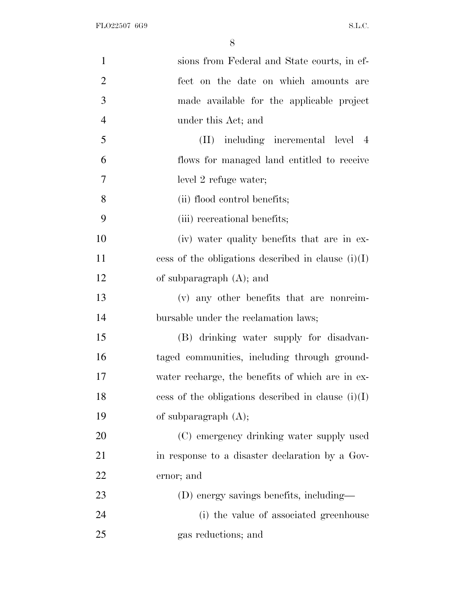| $\mathbf{1}$   | sions from Federal and State courts, in ef-          |
|----------------|------------------------------------------------------|
| $\overline{2}$ | fect on the date on which amounts are                |
| 3              | made available for the applicable project            |
| $\overline{4}$ | under this Act; and                                  |
| 5              | (II) including incremental level 4                   |
| 6              | flows for managed land entitled to receive           |
| 7              | level 2 refuge water;                                |
| 8              | (ii) flood control benefits;                         |
| 9              | (iii) recreational benefits;                         |
| 10             | (iv) water quality benefits that are in ex-          |
| 11             | cess of the obligations described in clause $(i)(I)$ |
| 12             | of subparagraph $(A)$ ; and                          |
| 13             | (v) any other benefits that are nonreim-             |
| 14             | bursable under the reclamation laws;                 |
| 15             | (B) drinking water supply for disadvan-              |
| 16             | taged communities, including through ground-         |
| 17             | water recharge, the benefits of which are in ex-     |
| 18             | cess of the obligations described in clause $(i)(I)$ |
| 19             | of subparagraph $(A)$ ;                              |
| 20             | (C) emergency drinking water supply used             |
| 21             | in response to a disaster declaration by a Gov-      |
| 22             | ernor; and                                           |
| 23             | (D) energy savings benefits, including—              |
| 24             | (i) the value of associated greenhouse               |
| 25             | gas reductions; and                                  |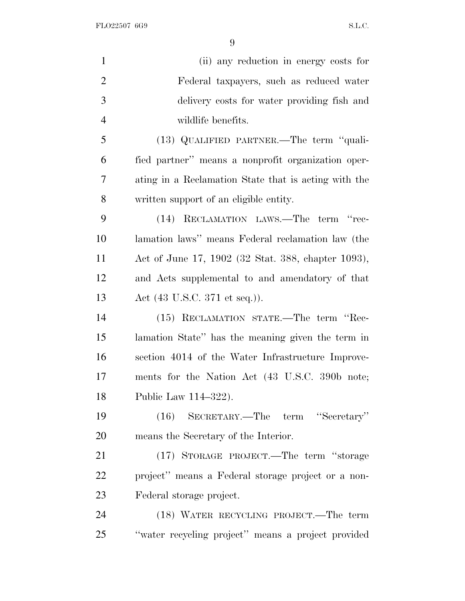FLO22507 6G9 S.L.C.

|                | (ii) any reduction in energy costs for               |
|----------------|------------------------------------------------------|
| $\overline{2}$ | Federal taxpayers, such as reduced water             |
|                | delivery costs for water providing fish and          |
|                | wildlife benefits.                                   |
|                | (13) QUALIFIED PARTNER.—The term "quali-             |
|                | fied partner" means a nonprofit organization oper-   |
|                | ating in a Reclamation State that is acting with the |
|                | written support of an eligible entity.               |
|                | (14) RECLAMATION LAWS.—The term "rec-                |
|                | lamation laws" means Federal reclamation law (the    |
|                | Act of June 17, 1902 (32 Stat. 388, chapter 1093),   |
| 12             | and Acts supplemental to and amendatory of that      |
|                | Act $(43 \text{ U.S.C. } 371 \text{ et seq.})).$     |
|                | (15) RECLAMATION STATE.—The term "Rec-               |
|                | lamation State" has the meaning given the term in    |
|                | section 4014 of the Water Infrastructure Improve-    |
|                | ments for the Nation Act (43 U.S.C. 390b note;       |
|                | Public Law 114-322).                                 |
|                | (16) SECRETARY.—The term "Secretary"                 |
|                | means the Secretary of the Interior.                 |
|                | (17) STORAGE PROJECT.—The term "storage              |
|                | project" means a Federal storage project or a non-   |
|                | Federal storage project.                             |
|                | (18) WATER RECYCLING PROJECT.—The term               |
|                | "water recycling project" means a project provided   |
|                |                                                      |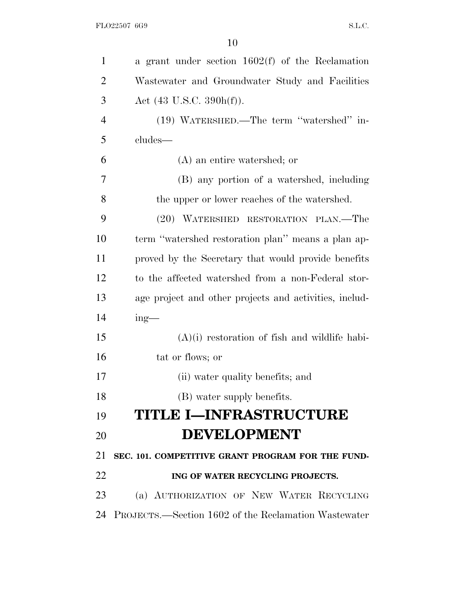| $\mathbf{1}$   | a grant under section $1602(f)$ of the Reclamation           |
|----------------|--------------------------------------------------------------|
| $\overline{2}$ | Wastewater and Groundwater Study and Facilities              |
| 3              | Act $(43 \text{ U.S.C. } 390h(f)).$                          |
| $\overline{4}$ | (19) WATERSHED.—The term "watershed" in-                     |
| 5              | cludes-                                                      |
| 6              | (A) an entire watershed; or                                  |
| 7              | (B) any portion of a watershed, including                    |
| 8              | the upper or lower reaches of the watershed.                 |
| 9              | (20) WATERSHED RESTORATION PLAN.—The                         |
| 10             | term "watershed restoration plan" means a plan ap-           |
| 11             | proved by the Secretary that would provide benefits          |
| 12             | to the affected watershed from a non-Federal stor-           |
| 13             | age project and other projects and activities, includ-       |
| 14             | $ing$ —                                                      |
| 15             | $(A)(i)$ restoration of fish and wildlife habi-              |
| 16             | tat or flows; or                                             |
| 17             | (ii) water quality benefits; and                             |
| 18             | (B) water supply benefits.                                   |
| 19             | <b>TITLE I-INFRASTRUCTURE</b>                                |
| 20             | <b>DEVELOPMENT</b>                                           |
| 21             | SEC. 101. COMPETITIVE GRANT PROGRAM FOR THE FUND-            |
| 22             | ING OF WATER RECYCLING PROJECTS.                             |
| 23             | (a) AUTHORIZATION OF NEW WATER RECYCLING                     |
| 24             | <b>PROJECTS.</b> —Section 1602 of the Reclamation Wastewater |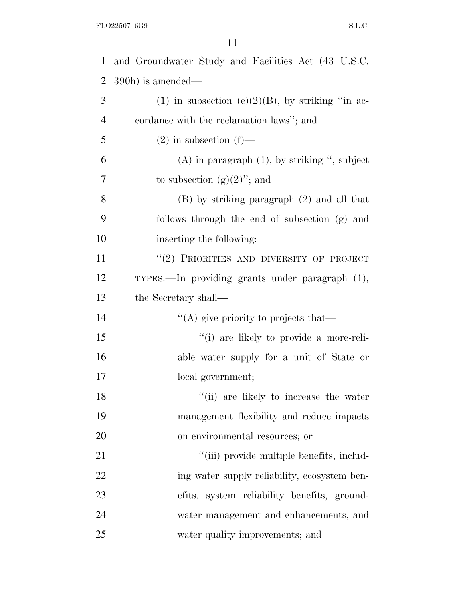| $\mathbf{1}$   | and Groundwater Study and Facilities Act (43 U.S.C. |
|----------------|-----------------------------------------------------|
| $\overline{2}$ | 390h) is amended—                                   |
| 3              | (1) in subsection (e)(2)(B), by striking "in ac-    |
| $\overline{4}$ | cordance with the reclamation laws"; and            |
| 5              | $(2)$ in subsection $(f)$ —                         |
| 6              | $(A)$ in paragraph $(1)$ , by striking ", subject   |
| 7              | to subsection $(g)(2)$ "; and                       |
| 8              | $(B)$ by striking paragraph $(2)$ and all that      |
| 9              | follows through the end of subsection (g) and       |
| 10             | inserting the following:                            |
| 11             | "(2) PRIORITIES AND DIVERSITY OF PROJECT            |
| 12             | TYPES.—In providing grants under paragraph (1),     |
| 13             | the Secretary shall—                                |
| 14             | "(A) give priority to projects that—                |
| 15             | "(i) are likely to provide a more-reli-             |
| 16             | able water supply for a unit of State or            |
| 17             | local government;                                   |
| 18             | "(ii) are likely to increase the water              |
| 19             | management flexibility and reduce impacts           |
| 20             | on environmental resources; or                      |
| 21             | "(iii) provide multiple benefits, includ-           |
| 22             | ing water supply reliability, ecosystem ben-        |
| 23             | efits, system reliability benefits, ground-         |
| 24             | water management and enhancements, and              |
| 25             | water quality improvements; and                     |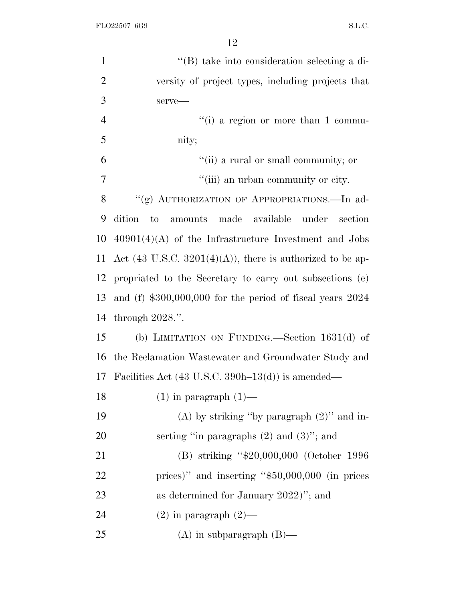| $\mathbf{1}$   | "(B) take into consideration selecting a di-                          |
|----------------|-----------------------------------------------------------------------|
| $\overline{2}$ | versity of project types, including projects that                     |
| 3              | serve-                                                                |
| $\overline{4}$ | "(i) a region or more than 1 commu-                                   |
| 5              | nity;                                                                 |
| 6              | "(ii) a rural or small community; or                                  |
| 7              | "(iii) an urban community or city.                                    |
| 8              | "(g) AUTHORIZATION OF APPROPRIATIONS.-In ad-                          |
| 9              | to amounts made available under section<br>dition                     |
| 10             | $40901(4)(A)$ of the Infrastructure Investment and Jobs               |
| 11             | Act $(43 \text{ U.S.C. } 3201(4)(A))$ , there is authorized to be ap- |
| 12             | propriated to the Secretary to carry out subsections (e)              |
| 13             | and $(f)$ \$300,000,000 for the period of fiscal years 2024           |
| 14             | through $2028$ .".                                                    |
| 15             | (b) LIMITATION ON FUNDING.—Section $1631(d)$ of                       |
| 16             | the Reclamation Wastewater and Groundwater Study and                  |
|                | 17 Facilities Act $(43 \text{ U.S.C. } 390h-13(d))$ is amended—       |
| 18             | $(1)$ in paragraph $(1)$ —                                            |
| 19             | (A) by striking "by paragraph $(2)$ " and in-                         |
| 20             | serting "in paragraphs $(2)$ and $(3)$ "; and                         |
| 21             | (B) striking "\$20,000,000 (October 1996                              |
| 22             | prices)" and inserting " $$50,000,000$ (in prices                     |
| 23             | as determined for January 2022)"; and                                 |
| 24             | $(2)$ in paragraph $(2)$ —                                            |
| 25             | $(A)$ in subparagraph $(B)$ —                                         |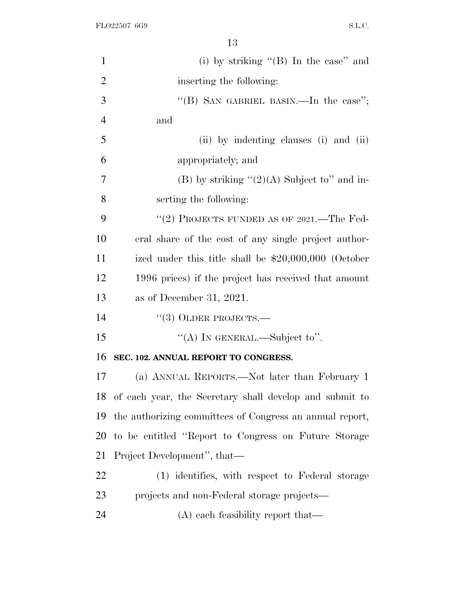FLO22507 6G9 S.L.C.

| $\mathbf{1}$   | (i) by striking " $(B)$ In the case" and                   |
|----------------|------------------------------------------------------------|
| $\overline{2}$ | inserting the following:                                   |
| 3              | "(B) SAN GABRIEL BASIN.—In the case";                      |
| $\overline{4}$ | and                                                        |
| 5              | (ii) by indenting clauses (i) and (ii)                     |
| 6              | appropriately; and                                         |
| $\overline{7}$ | (B) by striking $\lq(2)(A)$ Subject to" and in-            |
| 8              | serting the following:                                     |
| 9              | "(2) PROJECTS FUNDED AS OF 2021.—The Fed-                  |
| 10             | eral share of the cost of any single project author-       |
| 11             | ized under this title shall be $$20,000,000$ (October      |
| 12             | 1996 prices) if the project has received that amount       |
| 13             | as of December 31, 2021.                                   |
| 14             | $``(3)$ OLDER PROJECTS.—                                   |
| 15             | "(A) IN GENERAL.—Subject to".                              |
| 16             | SEC. 102. ANNUAL REPORT TO CONGRESS.                       |
| 17             | (a) ANNUAL REPORTS.—Not later than February 1              |
|                | 18 of each year, the Secretary shall develop and submit to |
| 19             | the authorizing committees of Congress an annual report,   |
| 20             | to be entitled "Report to Congress on Future Storage"      |
| 21             | Project Development", that—                                |
| 22             | (1) identifies, with respect to Federal storage            |
| 23             | projects and non-Federal storage projects—                 |
| 24             | (A) each feasibility report that—                          |
|                |                                                            |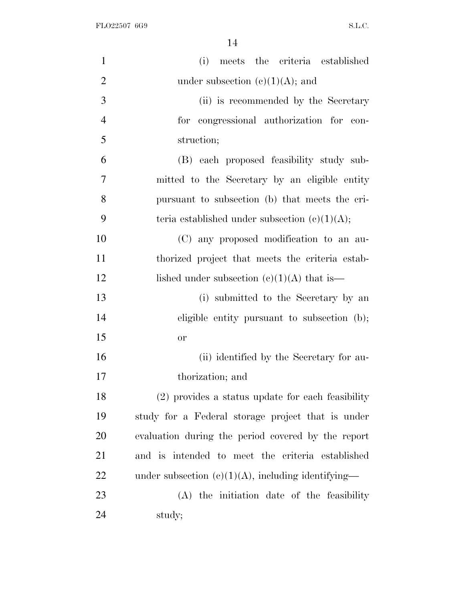| $\mathbf{1}$   | meets the criteria established<br>(i)                 |
|----------------|-------------------------------------------------------|
| $\overline{2}$ | under subsection $(e)(1)(A)$ ; and                    |
| 3              | (ii) is recommended by the Secretary                  |
| $\overline{4}$ | for congressional authorization for con-              |
| 5              | struction;                                            |
| 6              | (B) each proposed feasibility study sub-              |
| 7              | mitted to the Secretary by an eligible entity         |
| 8              | pursuant to subsection (b) that meets the cri-        |
| 9              | teria established under subsection $(c)(1)(A);$       |
| 10             | (C) any proposed modification to an au-               |
| 11             | thorized project that meets the criteria estab-       |
| 12             | lished under subsection $(c)(1)(A)$ that is—          |
| 13             | (i) submitted to the Secretary by an                  |
| 14             | eligible entity pursuant to subsection (b);           |
| 15             | or                                                    |
| 16             | (ii) identified by the Secretary for au-              |
| 17             | thorization; and                                      |
| 18             | (2) provides a status update for each feasibility     |
| 19             | study for a Federal storage project that is under     |
| 20             | evaluation during the period covered by the report    |
| 21             | and is intended to meet the criteria established      |
| <u>22</u>      | under subsection $(e)(1)(A)$ , including identifying— |
| 23             | (A) the initiation date of the feasibility            |
| 24             | study;                                                |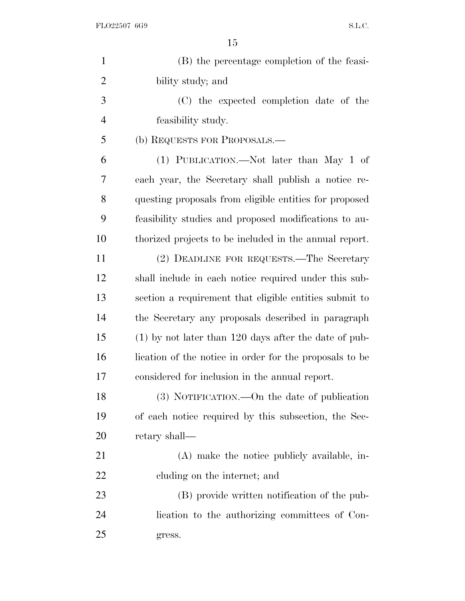| $\mathbf{1}$   | (B) the percentage completion of the feasi-             |
|----------------|---------------------------------------------------------|
| $\overline{2}$ | bility study; and                                       |
| 3              | (C) the expected completion date of the                 |
| 4              | feasibility study.                                      |
| 5              | (b) REQUESTS FOR PROPOSALS.—                            |
| 6              | (1) PUBLICATION.—Not later than May 1 of                |
| 7              | each year, the Secretary shall publish a notice re-     |
| 8              | questing proposals from eligible entities for proposed  |
| 9              | feasibility studies and proposed modifications to au-   |
| 10             | thorized projects to be included in the annual report.  |
| 11             | (2) DEADLINE FOR REQUESTS.—The Secretary                |
| 12             | shall include in each notice required under this sub-   |
| 13             | section a requirement that eligible entities submit to  |
| 14             | the Secretary any proposals described in paragraph      |
| 15             | $(1)$ by not later than 120 days after the date of pub- |
| 16             | lication of the notice in order for the proposals to be |
| 17             | considered for inclusion in the annual report.          |
| 18             | (3) NOTIFICATION.—On the date of publication            |
| 19             | of each notice required by this subsection, the Sec-    |
| 20             | retary shall—                                           |
| 21             | (A) make the notice publicly available, in-             |
| <u>22</u>      | cluding on the internet; and                            |
| 23             | (B) provide written notification of the pub-            |
| 24             | lication to the authorizing committees of Con-          |
| 25             | gress.                                                  |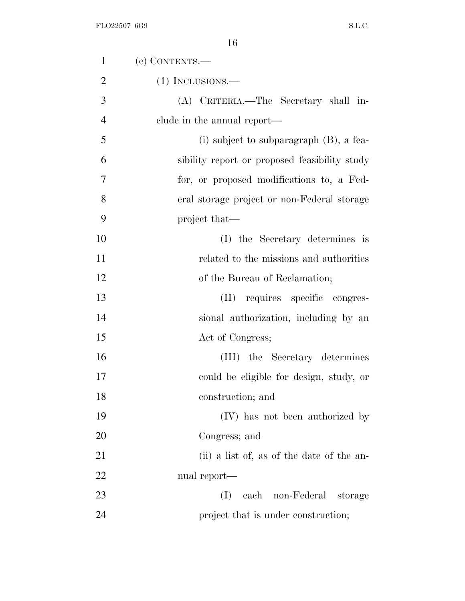| $\mathbf{1}$   | (c) CONTENTS.-                                |
|----------------|-----------------------------------------------|
| $\overline{2}$ | $(1)$ INCLUSIONS.—                            |
| 3              | (A) CRITERIA.—The Secretary shall in-         |
| $\overline{4}$ | clude in the annual report—                   |
| 5              | $(i)$ subject to subparagraph $(B)$ , a fea-  |
| 6              | sibility report or proposed feasibility study |
| 7              | for, or proposed modifications to, a Fed-     |
| 8              | eral storage project or non-Federal storage   |
| 9              | project that—                                 |
| 10             | (I) the Secretary determines is               |
| 11             | related to the missions and authorities       |
| 12             | of the Bureau of Reclamation;                 |
| 13             | (II) requires specific congres-               |
| 14             | sional authorization, including by an         |
| 15             | Act of Congress;                              |
| 16             | (III) the Secretary determines                |
| 17             | could be eligible for design, study, or       |
| 18             | construction; and                             |
| 19             | (IV) has not been authorized by               |
| 20             | Congress; and                                 |
| 21             | (ii) a list of, as of the date of the an-     |
| 22             | nual report—                                  |
| 23             | (I)<br>each<br>non-Federal<br>storage         |
| 24             | project that is under construction;           |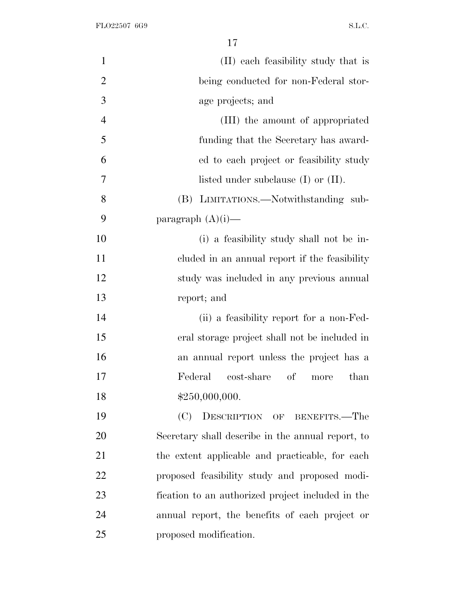| $\mathbf{1}$   | (II) each feasibility study that is               |
|----------------|---------------------------------------------------|
| $\overline{2}$ | being conducted for non-Federal stor-             |
| 3              | age projects; and                                 |
| $\overline{4}$ | (III) the amount of appropriated                  |
| 5              | funding that the Secretary has award-             |
| 6              | ed to each project or feasibility study           |
| 7              | listed under subclause $(I)$ or $(II)$ .          |
| 8              | (B) LIMITATIONS.—Notwithstanding sub-             |
| 9              | paragraph $(A)(i)$ —                              |
| 10             | (i) a feasibility study shall not be in-          |
| 11             | cluded in an annual report if the feasibility     |
| 12             | study was included in any previous annual         |
| 13             | report; and                                       |
| 14             | (ii) a feasibility report for a non-Fed-          |
| 15             | eral storage project shall not be included in     |
| 16             | an annual report unless the project has a         |
| 17             | Federal<br>cost-share of<br>than<br>more          |
| 18             | \$250,000,000.                                    |
| 19             | DESCRIPTION OF BENEFITS.—The<br>(C)               |
| 20             | Secretary shall describe in the annual report, to |
| 21             | the extent applicable and practicable, for each   |
| 22             | proposed feasibility study and proposed modi-     |
| 23             | fication to an authorized project included in the |
| 24             | annual report, the benefits of each project or    |
| 25             | proposed modification.                            |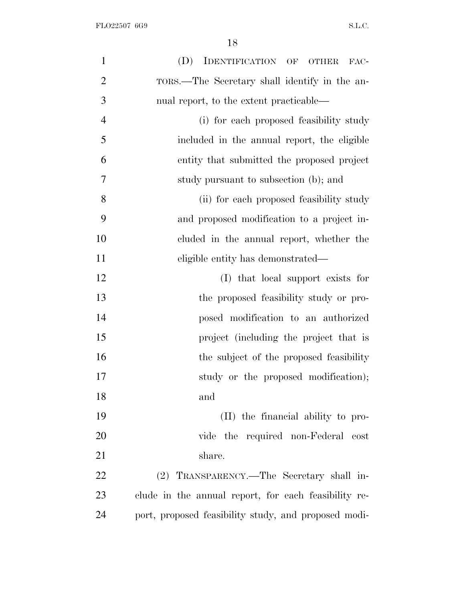| $\mathbf{1}$   | (D)<br>IDENTIFICATION OF OTHER<br>FAC-               |
|----------------|------------------------------------------------------|
| $\overline{2}$ | TORS.—The Secretary shall identify in the an-        |
| 3              | nual report, to the extent practicable—              |
| $\overline{4}$ | (i) for each proposed feasibility study              |
| 5              | included in the annual report, the eligible          |
| 6              | entity that submitted the proposed project           |
| 7              | study pursuant to subsection (b); and                |
| 8              | (ii) for each proposed feasibility study             |
| 9              | and proposed modification to a project in-           |
| 10             | cluded in the annual report, whether the             |
| 11             | eligible entity has demonstrated—                    |
| 12             | (I) that local support exists for                    |
| 13             | the proposed feasibility study or pro-               |
| 14             | posed modification to an authorized                  |
| 15             | project (including the project that is               |
| 16             | the subject of the proposed feasibility              |
| 17             | study or the proposed modification);                 |
| 18             | and                                                  |
| 19             | (II) the financial ability to pro-                   |
| 20             | vide the required non-Federal cost                   |
| 21             | share.                                               |
| 22             | (2) TRANSPARENCY.—The Secretary shall in-            |
| 23             | clude in the annual report, for each feasibility re- |
| 24             | port, proposed feasibility study, and proposed modi- |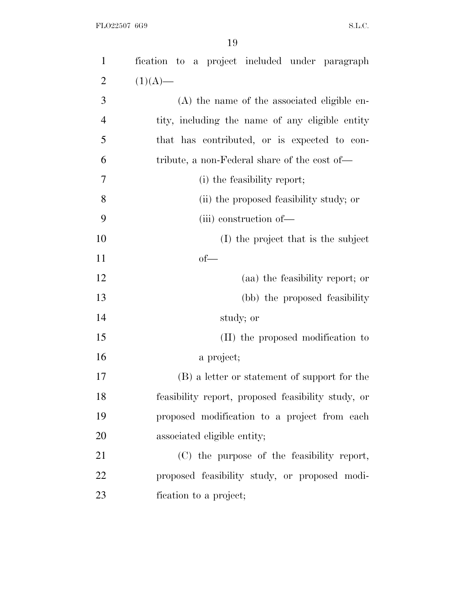| $\mathbf{1}$   | fication to a project included under paragraph     |
|----------------|----------------------------------------------------|
| $\overline{2}$ | $(1)(A)$ —                                         |
| 3              | (A) the name of the associated eligible en-        |
| $\overline{4}$ | tity, including the name of any eligible entity    |
| 5              | that has contributed, or is expected to con-       |
| 6              | tribute, a non-Federal share of the cost of—       |
| 7              | (i) the feasibility report;                        |
| 8              | (ii) the proposed feasibility study; or            |
| 9              | (iii) construction of-                             |
| 10             | (I) the project that is the subject                |
| 11             | $of$ —                                             |
| 12             | (aa) the feasibility report; or                    |
| 13             | (bb) the proposed feasibility                      |
| 14             | study; or                                          |
| 15             | (II) the proposed modification to                  |
| 16             | a project;                                         |
| 17             | (B) a letter or statement of support for the       |
| 18             | feasibility report, proposed feasibility study, or |
| 19             | proposed modification to a project from each       |
| 20             | associated eligible entity;                        |
| 21             | (C) the purpose of the feasibility report,         |
| 22             | proposed feasibility study, or proposed modi-      |
| 23             | fication to a project;                             |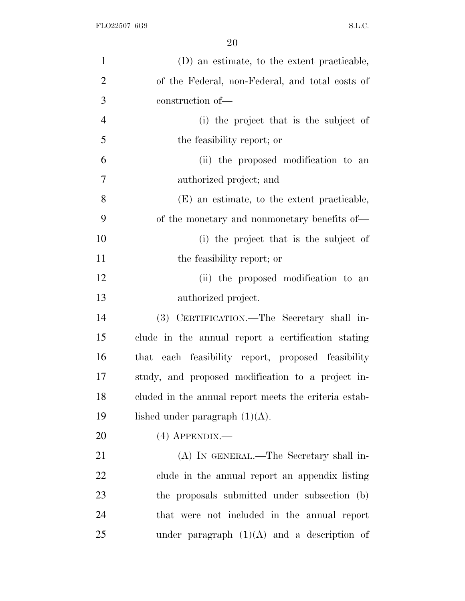| $\mathbf{1}$   | (D) an estimate, to the extent practicable,           |
|----------------|-------------------------------------------------------|
| $\overline{2}$ | of the Federal, non-Federal, and total costs of       |
| 3              | construction of-                                      |
| $\overline{4}$ | (i) the project that is the subject of                |
| 5              | the feasibility report; or                            |
| 6              | (ii) the proposed modification to an                  |
| $\overline{7}$ | authorized project; and                               |
| 8              | (E) an estimate, to the extent practicable,           |
| 9              | of the monetary and nonmonetary benefits of—          |
| 10             | (i) the project that is the subject of                |
| 11             | the feasibility report; or                            |
| 12             | (ii) the proposed modification to an                  |
| 13             | authorized project.                                   |
| 14             | (3) CERTIFICATION.—The Secretary shall in-            |
| 15             | clude in the annual report a certification stating    |
| 16             | each feasibility report, proposed feasibility<br>that |
| 17             | study, and proposed modification to a project in-     |
| 18             | cluded in the annual report meets the criteria estab- |
| 19             | lished under paragraph $(1)(A)$ .                     |
| 20             | $(4)$ APPENDIX.—                                      |
| 21             | (A) IN GENERAL.—The Secretary shall in-               |
| 22             | clude in the annual report an appendix listing        |
| 23             | the proposals submitted under subsection (b)          |
| 24             | that were not included in the annual report           |
| 25             | under paragraph $(1)(A)$ and a description of         |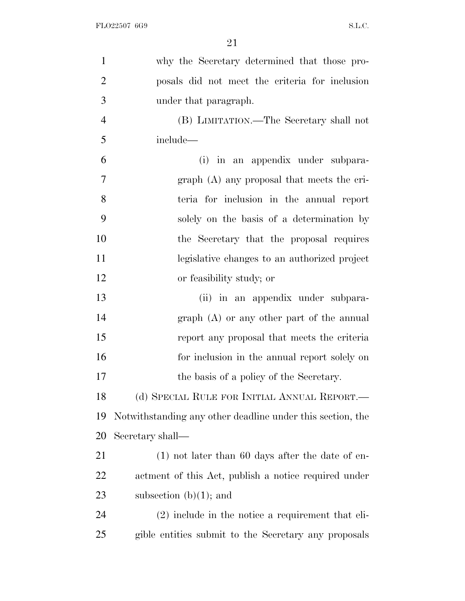| $\mathbf{1}$   | why the Secretary determined that those pro-               |
|----------------|------------------------------------------------------------|
| $\overline{2}$ | posals did not meet the criteria for inclusion             |
| 3              | under that paragraph.                                      |
| $\overline{4}$ | (B) LIMITATION.—The Secretary shall not                    |
| 5              | include—                                                   |
| 6              | (i) in an appendix under subpara-                          |
| 7              | graph (A) any proposal that meets the cri-                 |
| 8              | teria for inclusion in the annual report                   |
| 9              | solely on the basis of a determination by                  |
| 10             | the Secretary that the proposal requires                   |
| 11             | legislative changes to an authorized project               |
| 12             | or feasibility study; or                                   |
| 13             | (ii) in an appendix under subpara-                         |
| 14             | $graph(A)$ or any other part of the annual                 |
| 15             | report any proposal that meets the criteria                |
| 16             | for inclusion in the annual report solely on               |
| 17             | the basis of a policy of the Secretary.                    |
| 18             | (d) SPECIAL RULE FOR INITIAL ANNUAL REPORT.—               |
| 19             | Notwithstanding any other deadline under this section, the |
| 20             | Secretary shall—                                           |
| 21             | $(1)$ not later than 60 days after the date of en-         |
| 22             | actment of this Act, publish a notice required under       |
| 23             | subsection $(b)(1)$ ; and                                  |
| 24             | $(2)$ include in the notice a requirement that eli-        |
| 25             | gible entities submit to the Secretary any proposals       |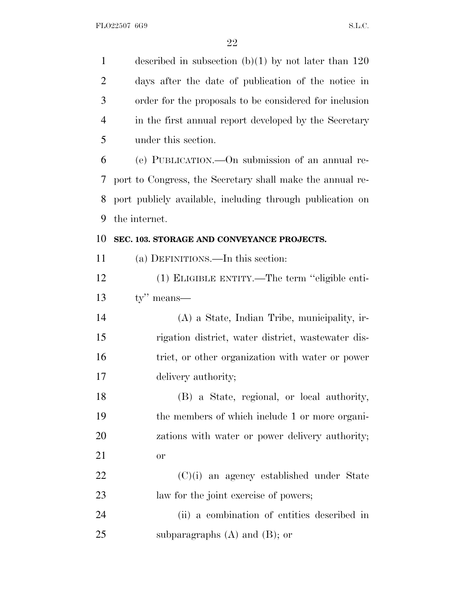described in subsection (b)(1) by not later than 120 days after the date of publication of the notice in order for the proposals to be considered for inclusion in the first annual report developed by the Secretary under this section. (e) PUBLICATION.—On submission of an annual re- port to Congress, the Secretary shall make the annual re- port publicly available, including through publication on the internet. **SEC. 103. STORAGE AND CONVEYANCE PROJECTS.** (a) DEFINITIONS.—In this section: (1) ELIGIBLE ENTITY.—The term ''eligible enti- ty'' means— (A) a State, Indian Tribe, municipality, ir- rigation district, water district, wastewater dis- trict, or other organization with water or power delivery authority; (B) a State, regional, or local authority, the members of which include 1 or more organi- zations with water or power delivery authority; or (C)(i) an agency established under State law for the joint exercise of powers; (ii) a combination of entities described in subparagraphs (A) and (B); or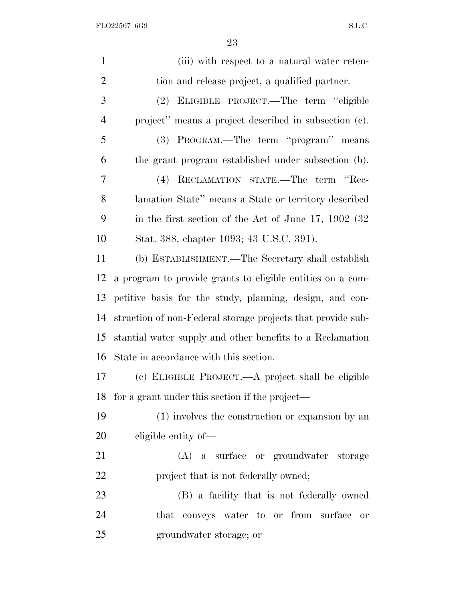FLO22507 6G9 S.L.C.

| $\mathbf{1}$   | (iii) with respect to a natural water reten-                |
|----------------|-------------------------------------------------------------|
| $\overline{2}$ | tion and release project, a qualified partner.              |
| 3              | ELIGIBLE PROJECT.—The term "eligible<br>(2)                 |
| $\overline{4}$ | project" means a project described in subsection (c).       |
| 5              | (3) PROGRAM.—The term "program" means                       |
| 6              | the grant program established under subsection (b).         |
| $\overline{7}$ | (4) RECLAMATION STATE.-The term "Rec-                       |
| 8              | lamation State" means a State or territory described        |
| 9              | in the first section of the Act of June $17, 1902$ (32)     |
| 10             | Stat. 388, chapter 1093; 43 U.S.C. 391).                    |
| 11             | (b) ESTABLISHMENT.—The Secretary shall establish            |
| 12             | a program to provide grants to eligible entities on a com-  |
| 13             | petitive basis for the study, planning, design, and con-    |
| 14             | struction of non-Federal storage projects that provide sub- |
| 15             | stantial water supply and other benefits to a Reclamation   |
| 16             | State in accordance with this section.                      |
| 17             | (c) ELIGIBLE PROJECT.—A project shall be eligible           |
| $18$ fo        | for a grant under this section if the project—              |
| 19             | (1) involves the construction or expansion by an            |
| 20             | eligible entity of—                                         |
| 21             | (A) a surface or groundwater storage                        |
| 22             | project that is not federally owned;                        |
| 23             | (B) a facility that is not federally owned                  |
| 24             | that conveys water to or from surface<br>or                 |
| 25             | groundwater storage; or                                     |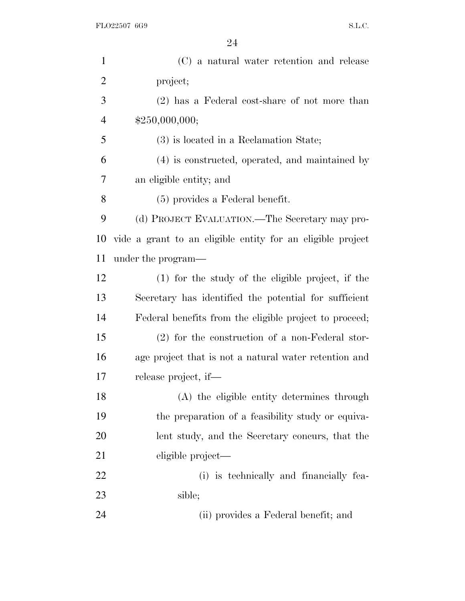| $\mathbf{1}$   | (C) a natural water retention and release                  |
|----------------|------------------------------------------------------------|
| $\overline{c}$ | project;                                                   |
| 3              | (2) has a Federal cost-share of not more than              |
| $\overline{4}$ | \$250,000,000;                                             |
| 5              | (3) is located in a Reclamation State;                     |
| 6              | (4) is constructed, operated, and maintained by            |
| 7              | an eligible entity; and                                    |
| 8              | $(5)$ provides a Federal benefit.                          |
| 9              | (d) PROJECT EVALUATION.—The Secretary may pro-             |
| 10             | vide a grant to an eligible entity for an eligible project |
| 11             | under the program—                                         |
| 12             | $(1)$ for the study of the eligible project, if the        |
| 13             | Secretary has identified the potential for sufficient      |
| 14             | Federal benefits from the eligible project to proceed;     |
| 15             | $(2)$ for the construction of a non-Federal stor-          |
| 16             | age project that is not a natural water retention and      |
| 17             | release project, if—                                       |
| 18             | (A) the eligible entity determines through                 |
| 19             | the preparation of a feasibility study or equiva-          |
| <b>20</b>      | lent study, and the Secretary concurs, that the            |
| 21             | eligible project—                                          |
| 22             | (i) is technically and financially fea-                    |
| 23             | sible;                                                     |
| 24             | (ii) provides a Federal benefit; and                       |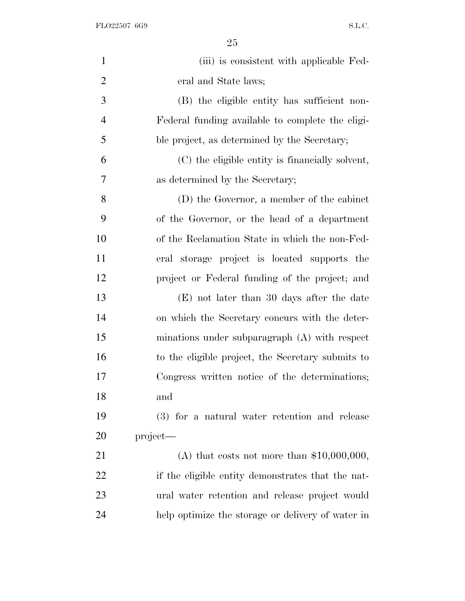FLO22507 6G9 S.L.C.

| $\mathbf{1}$   | (iii) is consistent with applicable Fed-          |
|----------------|---------------------------------------------------|
| $\overline{2}$ | eral and State laws;                              |
| 3              | (B) the eligible entity has sufficient non-       |
| $\overline{4}$ | Federal funding available to complete the eligi-  |
| 5              | ble project, as determined by the Secretary;      |
| 6              | (C) the eligible entity is financially solvent,   |
| 7              | as determined by the Secretary;                   |
| 8              | (D) the Governor, a member of the cabinet         |
| 9              | of the Governor, or the head of a department      |
| 10             | of the Reclamation State in which the non-Fed-    |
| 11             | eral storage project is located supports the      |
| 12             | project or Federal funding of the project; and    |
| 13             | (E) not later than 30 days after the date         |
| 14             | on which the Secretary concurs with the deter-    |
| 15             | minations under subparagraph $(A)$ with respect   |
| 16             | to the eligible project, the Secretary submits to |
| 17             | Congress written notice of the determinations;    |
| 18             | and                                               |
| 19             | (3) for a natural water retention and release     |
| 20             | project—                                          |
| 21             | (A) that costs not more than $$10,000,000$ ,      |
| 22             | if the eligible entity demonstrates that the nat- |
| 23             | ural water retention and release project would    |
| 24             | help optimize the storage or delivery of water in |
|                |                                                   |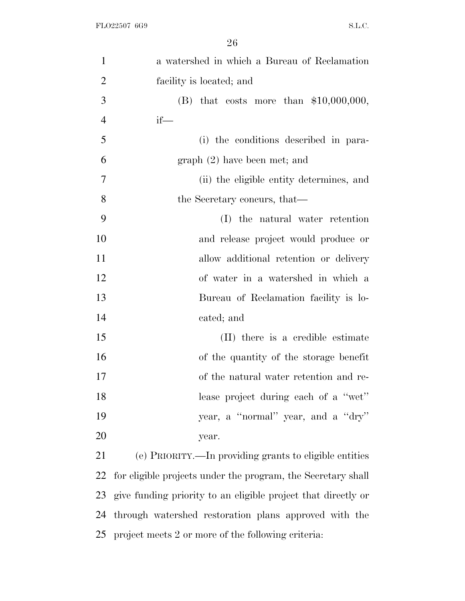| $\mathbf{1}$   | a watershed in which a Bureau of Reclamation                  |
|----------------|---------------------------------------------------------------|
| $\overline{2}$ | facility is located; and                                      |
| $\overline{3}$ | (B) that costs more than $$10,000,000,$                       |
| $\overline{4}$ | $if$ —                                                        |
| 5              | (i) the conditions described in para-                         |
| 6              | graph (2) have been met; and                                  |
| $\tau$         | (ii) the eligible entity determines, and                      |
| 8              | the Secretary concurs, that—                                  |
| 9              | (I) the natural water retention                               |
| 10             | and release project would produce or                          |
| 11             | allow additional retention or delivery                        |
| 12             | of water in a watershed in which a                            |
| 13             | Bureau of Reclamation facility is lo-                         |
| 14             | cated; and                                                    |
| 15             | (II) there is a credible estimate                             |
| 16             | of the quantity of the storage benefit                        |
| 17             | of the natural water retention and re-                        |
| 18             | lease project during each of a "wet"                          |
| 19             | year, a "normal" year, and a "dry"                            |
| 20             | year.                                                         |
| 21             | (e) PRIORITY.—In providing grants to eligible entities        |
| 22             | for eligible projects under the program, the Secretary shall  |
| 23             | give funding priority to an eligible project that directly or |
| 24             | through watershed restoration plans approved with the         |

project meets 2 or more of the following criteria: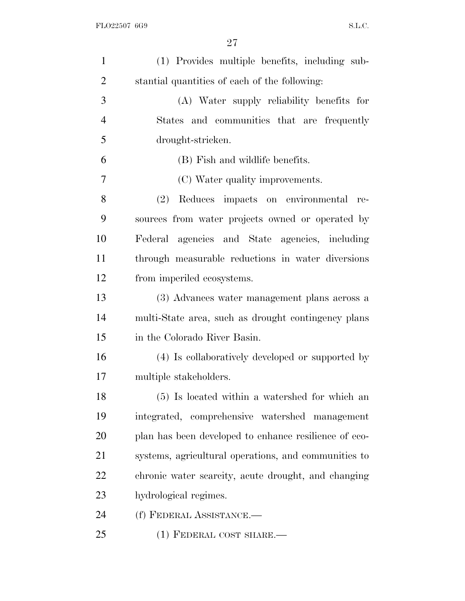| $\mathbf{1}$   | (1) Provides multiple benefits, including sub-        |
|----------------|-------------------------------------------------------|
| $\overline{2}$ | stantial quantities of each of the following:         |
| 3              | (A) Water supply reliability benefits for             |
| $\overline{4}$ | States and communities that are frequently            |
| 5              | drought-stricken.                                     |
| 6              | (B) Fish and wildlife benefits.                       |
| 7              | (C) Water quality improvements.                       |
| 8              | Reduces impacts on environmental re-<br>(2)           |
| 9              | sources from water projects owned or operated by      |
| 10             | Federal agencies and State agencies, including        |
| 11             | through measurable reductions in water diversions     |
| 12             | from imperiled ecosystems.                            |
| 13             | (3) Advances water management plans across a          |
| 14             | multi-State area, such as drought contingency plans   |
| 15             | in the Colorado River Basin.                          |
| 16             | (4) Is collaboratively developed or supported by      |
| 17             | multiple stakeholders.                                |
| 18             | (5) Is located within a watershed for which an        |
| 19             | integrated, comprehensive watershed management        |
| 20             | plan has been developed to enhance resilience of eco- |
| 21             | systems, agricultural operations, and communities to  |
| 22             | chronic water scarcity, acute drought, and changing   |
| 23             | hydrological regimes.                                 |
| 24             | (f) FEDERAL ASSISTANCE.-                              |
| 25             | $(1)$ FEDERAL COST SHARE.—                            |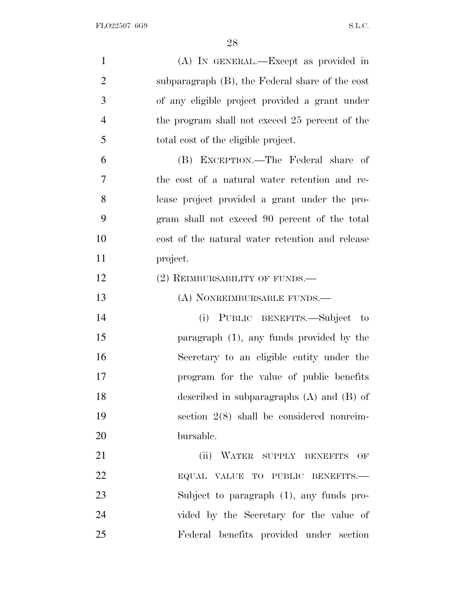| $\mathbf{1}$   | (A) IN GENERAL.—Except as provided in                   |
|----------------|---------------------------------------------------------|
| $\overline{2}$ | subparagraph $(B)$ , the Federal share of the cost      |
| 3              | of any eligible project provided a grant under          |
| $\overline{4}$ | the program shall not exceed 25 percent of the          |
| 5              | total cost of the eligible project.                     |
| 6              | (B) EXCEPTION.—The Federal share of                     |
| 7              | the cost of a natural water retention and re-           |
| 8              | lease project provided a grant under the pro-           |
| 9              | gram shall not exceed 90 percent of the total           |
| 10             | cost of the natural water retention and release         |
| 11             | project.                                                |
| 12             | (2) REIMBURSABILITY OF FUNDS.—                          |
| 13             | (A) NONREIMBURSABLE FUNDS.—                             |
| 14             | (i) PUBLIC BENEFITS.—Subject to                         |
| 15             | paragraph $(1)$ , any funds provided by the             |
| 16             | Secretary to an eligible entity under the               |
| 17             | program for the value of public benefits                |
| 18             | described in subparagraphs $(A)$ and $(B)$ of           |
| 19             | section $2(8)$ shall be considered nonreim-             |
| 20             | bursable.                                               |
| 21             | (ii)<br>WATER SUPPLY BENEFITS<br>$\overline{\text{OF}}$ |
| 22             | EQUAL VALUE TO PUBLIC BENEFITS.-                        |
| 23             | Subject to paragraph (1), any funds pro-                |
| 24             | vided by the Secretary for the value of                 |
| 25             | Federal benefits provided under section                 |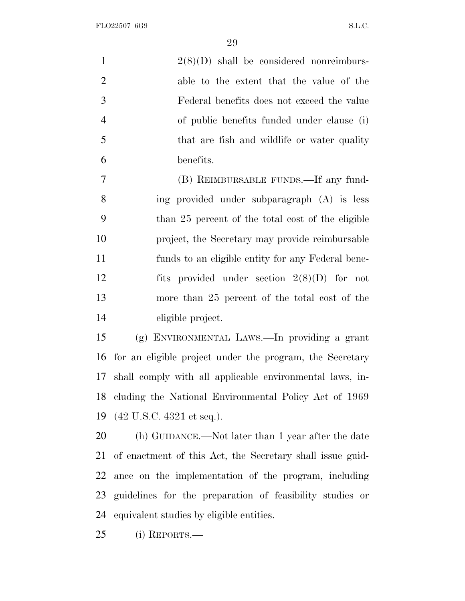FLO22507 6G9 S.L.C.

 $\Omega$ 

|                | 29                                                        |
|----------------|-----------------------------------------------------------|
| $\mathbf{1}$   | $2(8)(D)$ shall be considered nonreimburs-                |
| $\overline{2}$ | able to the extent that the value of the                  |
| 3              | Federal benefits does not exceed the value                |
| $\overline{4}$ | of public benefits funded under clause (i)                |
| 5              | that are fish and wildlife or water quality               |
| 6              | benefits.                                                 |
| $\overline{7}$ | (B) REIMBURSABLE FUNDS.—If any fund-                      |
| 8              | ing provided under subparagraph (A) is less               |
| 9              | than 25 percent of the total cost of the eligible         |
| 10             | project, the Secretary may provide reimbursable           |
| 11             | funds to an eligible entity for any Federal bene-         |
| 12             | fits provided under section $2(8)(D)$ for not             |
| 13             | more than 25 percent of the total cost of the             |
| 14             | eligible project.                                         |
| 15             | (g) ENVIRONMENTAL LAWS.—In providing a grant              |
| 16             | for an eligible project under the program, the Secretary  |
| 17             | shall comply with all applicable environmental laws, in-  |
| 18             | cluding the National Environmental Policy Act of 1969     |
| 19             | $(42 \text{ U.S.C. } 4321 \text{ et seq.}).$              |
| 20             | (h) GUIDANCE.—Not later than 1 year after the date        |
| 21             | of enactment of this Act, the Secretary shall issue guid- |
| 22             | ance on the implementation of the program, including      |

equivalent studies by eligible entities.

guidelines for the preparation of feasibility studies or

(i) REPORTS.—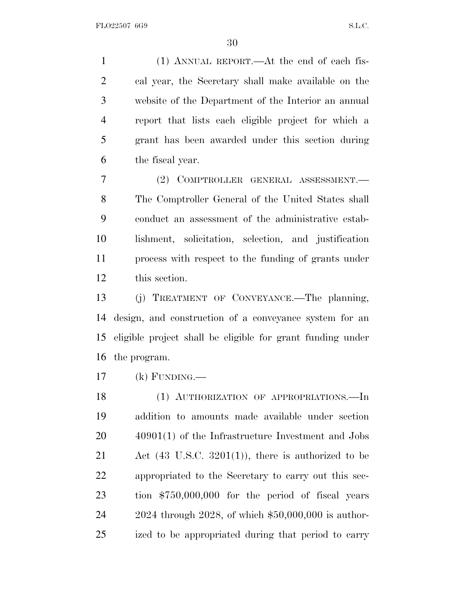(1) ANNUAL REPORT.—At the end of each fis- cal year, the Secretary shall make available on the website of the Department of the Interior an annual report that lists each eligible project for which a grant has been awarded under this section during the fiscal year.

 (2) COMPTROLLER GENERAL ASSESSMENT.— The Comptroller General of the United States shall conduct an assessment of the administrative estab- lishment, solicitation, selection, and justification process with respect to the funding of grants under this section.

 (j) TREATMENT OF CONVEYANCE.—The planning, design, and construction of a conveyance system for an eligible project shall be eligible for grant funding under the program.

(k) FUNDING.—

18 (1) AUTHORIZATION OF APPROPRIATIONS.—In addition to amounts made available under section 40901(1) of the Infrastructure Investment and Jobs Act (43 U.S.C. 3201(1)), there is authorized to be appropriated to the Secretary to carry out this sec- tion \$750,000,000 for the period of fiscal years 2024 through 2028, of which \$50,000,000 is author-ized to be appropriated during that period to carry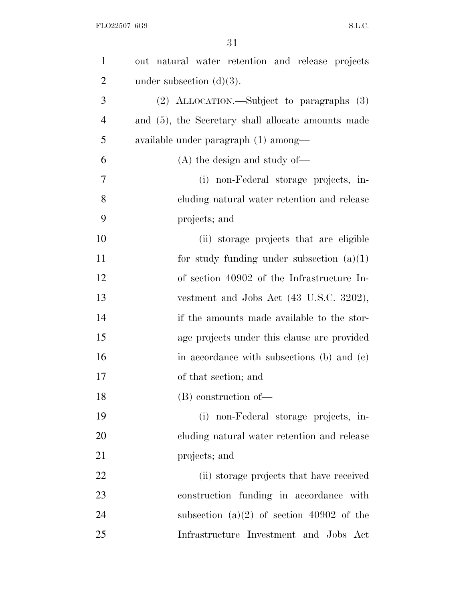| $\mathbf{1}$   | out natural water retention and release projects      |
|----------------|-------------------------------------------------------|
| $\overline{2}$ | under subsection $(d)(3)$ .                           |
| 3              | (2) ALLOCATION.—Subject to paragraphs (3)             |
| $\overline{4}$ | and $(5)$ , the Secretary shall allocate amounts made |
| 5              | available under paragraph (1) among—                  |
| 6              | $(A)$ the design and study of —                       |
| 7              | (i) non-Federal storage projects, in-                 |
| 8              | cluding natural water retention and release           |
| 9              | projects; and                                         |
| 10             | (ii) storage projects that are eligible               |
| 11             | for study funding under subsection $(a)(1)$           |
| 12             | of section 40902 of the Infrastructure In-            |
| 13             | vestment and Jobs Act (43 U.S.C. 3202),               |
| 14             | if the amounts made available to the stor-            |
| 15             | age projects under this clause are provided           |
| 16             | in accordance with subsections (b) and (c)            |
| 17             | of that section; and                                  |
| 18             | $(B)$ construction of —                               |
| 19             | (i) non-Federal storage projects, in-                 |
| 20             | cluding natural water retention and release           |
| 21             | projects; and                                         |
| 22             | (ii) storage projects that have received              |
| 23             | construction funding in accordance with               |
| 24             | subsection (a)(2) of section 40902 of the             |
| 25             | Infrastructure Investment and Jobs Act                |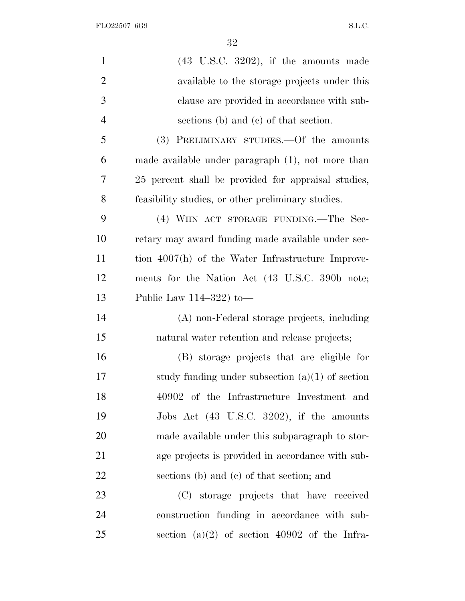FLO22507 6G9 S.L.C.

| $\mathbf{1}$   | $(43 \tU.S.C. 3202)$ , if the amounts made          |
|----------------|-----------------------------------------------------|
| $\mathbf{2}$   | available to the storage projects under this        |
| 3              | clause are provided in accordance with sub-         |
| $\overline{4}$ | sections (b) and (c) of that section.               |
| 5              | (3) PRELIMINARY STUDIES.—Of the amounts             |
| 6              | made available under paragraph (1), not more than   |
| 7              | 25 percent shall be provided for appraisal studies, |
| 8              | feasibility studies, or other preliminary studies.  |
| 9              | (4) WIIN ACT STORAGE FUNDING.—The Sec-              |
| 10             | retary may award funding made available under sec-  |
| 11             | tion 4007(h) of the Water Infrastructure Improve-   |
| 12             | ments for the Nation Act (43 U.S.C. 390b note;      |
| 13             | Public Law $114-322$ to —                           |
| 14             | (A) non-Federal storage projects, including         |
| 15             | natural water retention and release projects;       |
| 16             | (B) storage projects that are eligible for          |
| 17             | study funding under subsection $(a)(1)$ of section  |
| 18             | 40902 of the Infrastructure Investment and          |
| 19             | Jobs Act (43 U.S.C. 3202), if the amounts           |
| 20             | made available under this subparagraph to stor-     |
| 21             | age projects is provided in accordance with sub-    |
| 22             | sections (b) and (c) of that section; and           |
| 23             | (C) storage projects that have received             |
| 24             | construction funding in accordance with sub-        |
| 25             | section (a)(2) of section 40902 of the Infra-       |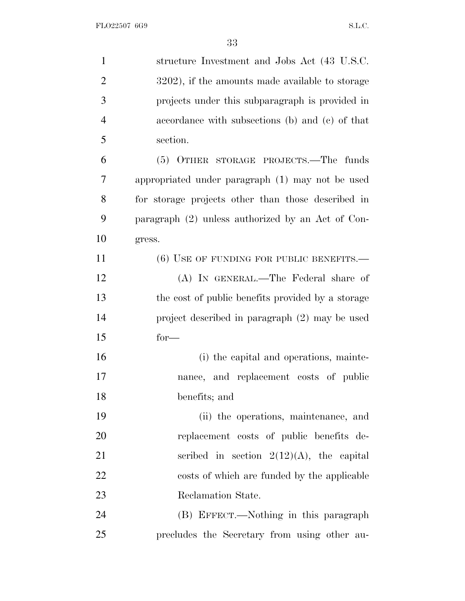| $\mathbf{1}$   | structure Investment and Jobs Act (43 U.S.C.        |
|----------------|-----------------------------------------------------|
| $\overline{2}$ | 3202), if the amounts made available to storage     |
| 3              | projects under this subparagraph is provided in     |
| $\overline{4}$ | accordance with subsections (b) and (c) of that     |
| 5              | section.                                            |
| 6              | (5) OTHER STORAGE PROJECTS.—The funds               |
| 7              | appropriated under paragraph (1) may not be used    |
| 8              | for storage projects other than those described in  |
| 9              | paragraph $(2)$ unless authorized by an Act of Con- |
| 10             | gress.                                              |
| 11             | $(6)$ USE OF FUNDING FOR PUBLIC BENEFITS.—          |
| 12             | (A) IN GENERAL.—The Federal share of                |
| 13             | the cost of public benefits provided by a storage   |
| 14             | project described in paragraph (2) may be used      |
| 15             | $for-$                                              |
| 16             | (i) the capital and operations, mainte-             |
| 17             | nance, and replacement costs of public              |
| 18             | benefits; and                                       |
| 19             | (ii) the operations, maintenance, and               |
| 20             | replacement costs of public benefits de-            |
| 21             | scribed in section $2(12)(A)$ , the capital         |
| 22             | costs of which are funded by the applicable         |
| 23             | Reclamation State.                                  |
| 24             | (B) EFFECT.—Nothing in this paragraph               |
| 25             | precludes the Secretary from using other au-        |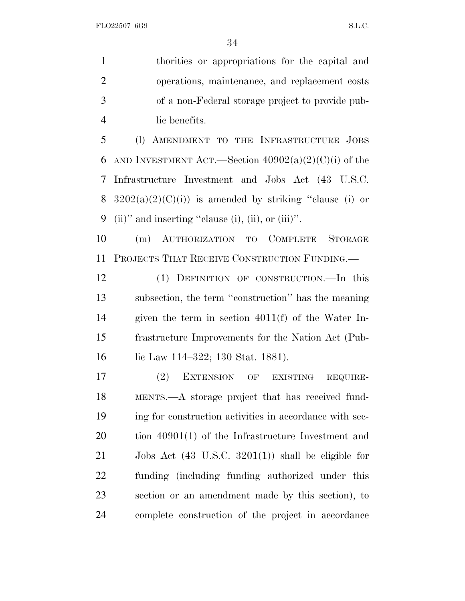thorities or appropriations for the capital and operations, maintenance, and replacement costs of a non-Federal storage project to provide pub-lic benefits.

 (l) AMENDMENT TO THE INFRASTRUCTURE JOBS 6 AND INVESTMENT ACT.—Section  $40902(a)(2)(C)(i)$  of the Infrastructure Investment and Jobs Act (43 U.S.C. 8  $3202(a)(2)(C)(i)$  is amended by striking "clause (i) or 9 (ii)" and inserting "clause (i), (ii), or (iii)".

 (m) AUTHORIZATION TO COMPLETE STORAGE PROJECTS THAT RECEIVE CONSTRUCTION FUNDING.—

 (1) DEFINITION OF CONSTRUCTION.—In this subsection, the term ''construction'' has the meaning given the term in section 4011(f) of the Water In- frastructure Improvements for the Nation Act (Pub-16 lie Law 114–322; 130 Stat. 1881).

 (2) EXTENSION OF EXISTING REQUIRE- MENTS.—A storage project that has received fund- ing for construction activities in accordance with sec- tion 40901(1) of the Infrastructure Investment and Jobs Act (43 U.S.C. 3201(1)) shall be eligible for funding (including funding authorized under this section or an amendment made by this section), to complete construction of the project in accordance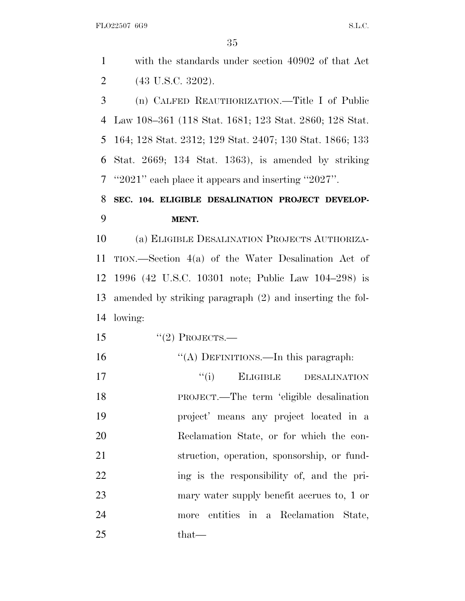FLO22507 6G9 S.L.C. with the standards under section 40902 of that Act (43 U.S.C. 3202). (n) CALFED REAUTHORIZATION.—Title I of Public Law 108–361 (118 Stat. 1681; 123 Stat. 2860; 128 Stat. 164; 128 Stat. 2312; 129 Stat. 2407; 130 Stat. 1866; 133 Stat. 2669; 134 Stat. 1363), is amended by striking ''2021'' each place it appears and inserting ''2027''. **SEC. 104. ELIGIBLE DESALINATION PROJECT DEVELOP- MENT.** (a) ELIGIBLE DESALINATION PROJECTS AUTHORIZA- TION.—Section 4(a) of the Water Desalination Act of 1996 (42 U.S.C. 10301 note; Public Law 104–298) is amended by striking paragraph (2) and inserting the fol- lowing:  $\text{``(2) PROJECTS.}$ 

- ''(A) DEFINITIONS.—In this paragraph: 17  $''(i)$  ELIGIBLE DESALINATION
- PROJECT.—The term 'eligible desalination project' means any project located in a Reclamation State, or for which the con- struction, operation, sponsorship, or fund-22 ing is the responsibility of, and the pri- mary water supply benefit accrues to, 1 or more entities in a Reclamation State, 25 that—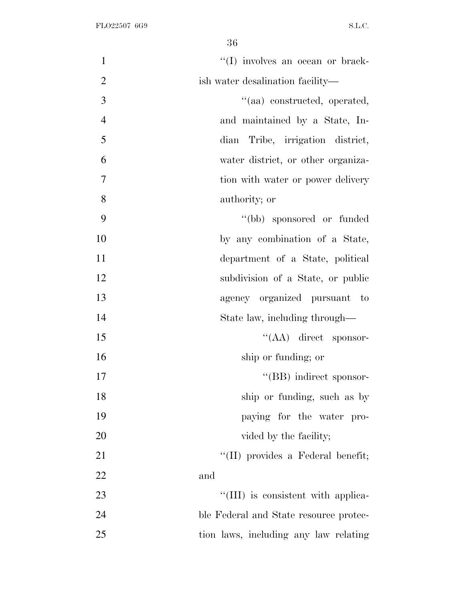| $\mathbf{1}$   | "(I) involves an ocean or brack-       |
|----------------|----------------------------------------|
| $\overline{2}$ | ish water desalination facility—       |
| 3              | "(aa) constructed, operated,           |
| $\overline{4}$ | and maintained by a State, In-         |
| 5              | dian Tribe, irrigation district,       |
| 6              | water district, or other organiza-     |
| 7              | tion with water or power delivery      |
| 8              | authority; or                          |
| 9              | "(bb) sponsored or funded              |
| 10             | by any combination of a State,         |
| 11             | department of a State, political       |
| 12             | subdivision of a State, or public      |
| 13             | agency organized pursuant to           |
| 14             | State law, including through—          |
| 15             | $\lq\lq (AA)$ direct sponsor-          |
| 16             | ship or funding; or                    |
| 17             | "(BB) indirect sponsor-                |
| 18             | ship or funding, such as by            |
| 19             | paying for the water pro-              |
| 20             | vided by the facility;                 |
| 21             | "(II) provides a Federal benefit;      |
| 22             | and                                    |
| 23             | "(III) is consistent with applica-     |
| 24             | ble Federal and State resource protec- |
| 25             | tion laws, including any law relating  |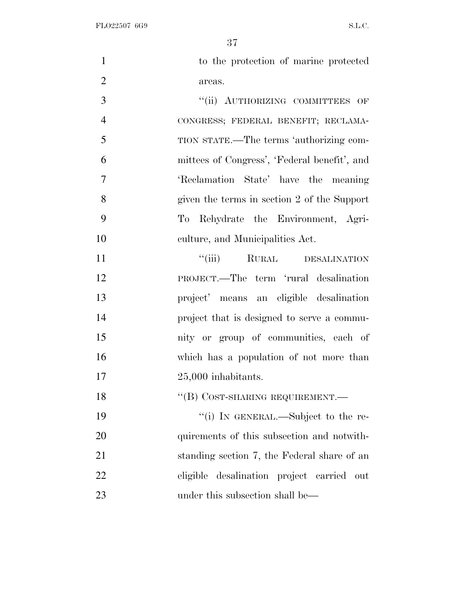FLO22507 6G9 S.L.C.

| $\mathbf{1}$   | to the protection of marine protected        |
|----------------|----------------------------------------------|
| $\overline{2}$ | areas.                                       |
| 3              | "(ii) AUTHORIZING COMMITTEES OF              |
| $\overline{4}$ | CONGRESS; FEDERAL BENEFIT; RECLAMA-          |
| 5              | TION STATE.—The terms 'authorizing com-      |
| 6              | mittees of Congress', 'Federal benefit', and |
| 7              | 'Reclamation State' have the meaning         |
| 8              | given the terms in section 2 of the Support  |
| 9              | To Rehydrate the Environment, Agri-          |
| 10             | culture, and Municipalities Act.             |
| 11             | ``(iii)<br>RURAL DESALINATION                |
| 12             | PROJECT.—The term 'rural desalination        |
| 13             | project' means an eligible desalination      |
| 14             | project that is designed to serve a commu-   |
| 15             | nity or group of communities, each of        |
| 16             | which has a population of not more than      |
| 17             | $25,000$ inhabitants.                        |
| 18             | $``$ (B) COST-SHARING REQUIREMENT.—          |
| 19             | "(i) IN GENERAL.—Subject to the re-          |
| 20             | quirements of this subsection and not with-  |
| 21             | standing section 7, the Federal share of an  |
| 22             | eligible desalination project carried out    |
| 23             | under this subsection shall be—              |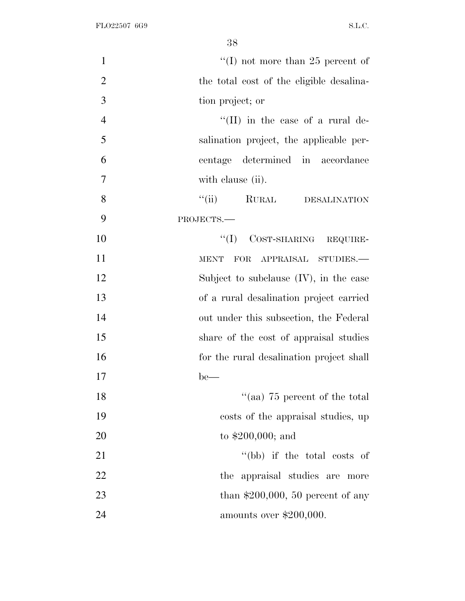| $\mathbf{1}$   | "(I) not more than 25 percent of          |
|----------------|-------------------------------------------|
| $\overline{2}$ | the total cost of the eligible desalina-  |
| 3              | tion project; or                          |
| $\overline{4}$ | "(II) in the case of a rural de-          |
| 5              | salination project, the applicable per-   |
| 6              | centage determined in accordance          |
| $\overline{7}$ | with clause (ii).                         |
| 8              | "(ii) RURAL DESALINATION                  |
| 9              | PROJECTS.-                                |
| 10             | "(I) COST-SHARING REQUIRE-                |
| 11             | FOR APPRAISAL STUDIES.-<br><b>MENT</b>    |
| 12             | Subject to subclause $(IV)$ , in the case |
| 13             | of a rural desalination project carried   |
| 14             | out under this subsection, the Federal    |
| 15             | share of the cost of appraisal studies    |
| 16             | for the rural desalination project shall  |
| 17             | $be-$                                     |
| 18             | "(aa) $75$ percent of the total           |
| 19             | costs of the appraisal studies, up        |
| 20             | to $$200,000$ ; and                       |
| 21             | "(bb) if the total costs of               |
| 22             | the appraisal studies are more            |
| 23             | than $$200,000, 50$ percent of any        |
| 24             | amounts over $$200,000$ .                 |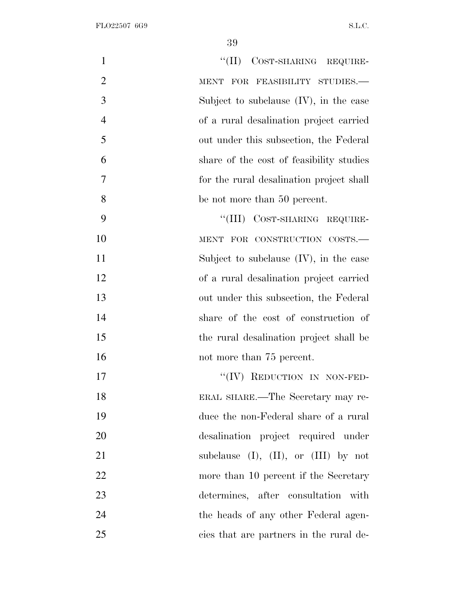| $\mathbf{1}$   | "(II) COST-SHARING REQUIRE-                  |
|----------------|----------------------------------------------|
| $\overline{2}$ | FOR FEASIBILITY STUDIES.-<br><b>MENT</b>     |
| 3              | Subject to subclause $(IV)$ , in the case    |
| $\overline{4}$ | of a rural desalination project carried      |
| 5              | out under this subsection, the Federal       |
| 6              | share of the cost of feasibility studies     |
| $\overline{7}$ | for the rural desalination project shall     |
| 8              | be not more than 50 percent.                 |
| 9              | "(III) COST-SHARING REQUIRE-                 |
| 10             | MENT FOR CONSTRUCTION COSTS.-                |
| 11             | Subject to subclause $(IV)$ , in the case    |
| 12             | of a rural desalination project carried      |
| 13             | out under this subsection, the Federal       |
| 14             | share of the cost of construction of         |
| 15             | the rural desalination project shall be      |
| 16             | not more than 75 percent.                    |
| 17             | REDUCTION IN NON-FED-                        |
| 18             | ERAL SHARE.—The Secretary may re-            |
| 19             | duce the non-Federal share of a rural        |
| 20             | desalination project required under          |
| 21             | subclause $(I)$ , $(II)$ , or $(III)$ by not |
| 22             | more than 10 percent if the Secretary        |
| 23             | determines, after consultation with          |
| 24             | the heads of any other Federal agen-         |
| 25             | cies that are partners in the rural de-      |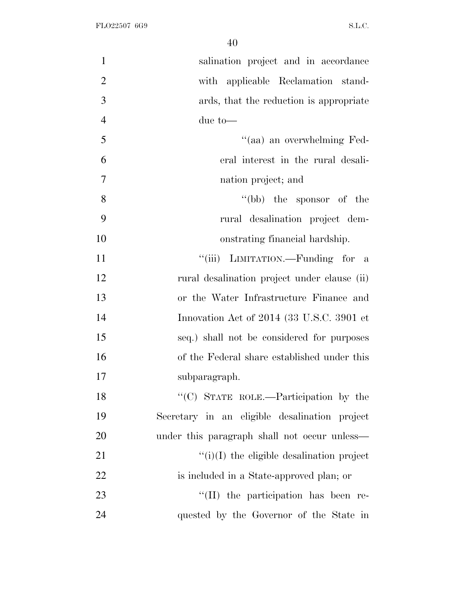| $\mathbf{1}$   | salination project and in accordance             |
|----------------|--------------------------------------------------|
| $\overline{2}$ | with applicable Reclamation stand-               |
| 3              | ards, that the reduction is appropriate          |
| $\overline{4}$ | due to—                                          |
| 5              | "(aa) an overwhelming Fed-                       |
| 6              | eral interest in the rural desali-               |
| $\overline{7}$ | nation project; and                              |
| 8              | "(bb) the sponsor of the                         |
| 9              | rural desalination project dem-                  |
| 10             | onstrating financial hardship.                   |
| 11             | "(iii) LIMITATION.—Funding for a                 |
| 12             | rural desalination project under clause (ii)     |
| 13             | or the Water Infrastructure Finance and          |
| 14             | Innovation Act of 2014 (33 U.S.C. 3901 et        |
| 15             | seq.) shall not be considered for purposes       |
| 16             | of the Federal share established under this      |
| 17             | subparagraph.                                    |
| 18             | "(C) STATE ROLE.—Participation by the            |
| 19             | Secretary in an eligible desalination project    |
| 20             | under this paragraph shall not occur unless—     |
| 21             | $\lq\lq(i)(I)$ the eligible desalination project |
| 22             | is included in a State-approved plan; or         |
| 23             | $\lq\lq$ (II) the participation has been re-     |
| 24             | quested by the Governor of the State in          |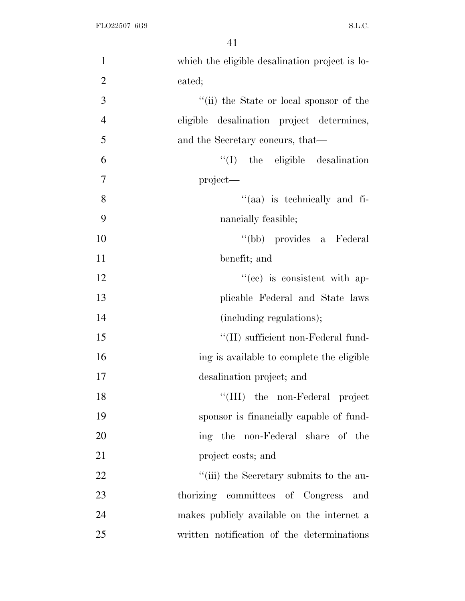| $\mathbf{1}$   | which the eligible desalination project is lo- |
|----------------|------------------------------------------------|
| $\overline{2}$ | cated;                                         |
| 3              | "(ii) the State or local sponsor of the        |
| $\overline{4}$ | eligible desalination project determines,      |
| 5              | and the Secretary concurs, that—               |
| 6              | $\lq\lq$ (I) the eligible desalination         |
| 7              | project—                                       |
| 8              | "(aa) is technically and fi-                   |
| 9              | nancially feasible;                            |
| 10             | "(bb) provides a Federal                       |
| 11             | benefit; and                                   |
| 12             | $f''(ce)$ is consistent with ap-               |
| 13             | plicable Federal and State laws                |
| 14             | (including regulations);                       |
| 15             | "(II) sufficient non-Federal fund-             |
| 16             | ing is available to complete the eligible      |
| 17             | desalination project; and                      |
| 18             | "(III) the non-Federal project                 |
| 19             | sponsor is financially capable of fund-        |
| 20             | ing the non-Federal share of the               |
| 21             | project costs; and                             |
| 22             | "(iii) the Secretary submits to the au-        |
| 23             | thorizing committees of Congress and           |
| 24             | makes publicly available on the internet a     |
| 25             | written notification of the determinations     |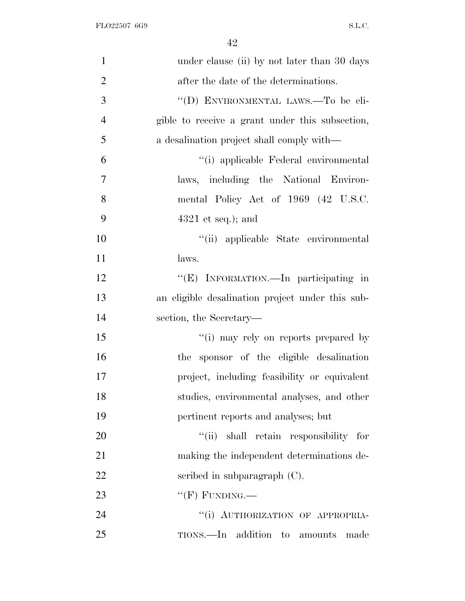| $\mathbf{1}$   | under clause (ii) by not later than 30 days      |
|----------------|--------------------------------------------------|
| $\overline{2}$ | after the date of the determinations.            |
| 3              | "(D) ENVIRONMENTAL LAWS.—To be eli-              |
| $\overline{4}$ | gible to receive a grant under this subsection,  |
| 5              | a desalination project shall comply with—        |
| 6              | "(i) applicable Federal environmental            |
| $\tau$         | laws, including the National Environ-            |
| 8              | mental Policy Act of 1969 (42 U.S.C.             |
| 9              | $4321$ et seq.); and                             |
| 10             | "(ii) applicable State environmental             |
| 11             | laws.                                            |
| 12             | "(E) INFORMATION.—In participating in            |
| 13             | an eligible desalination project under this sub- |
| 14             | section, the Secretary—                          |
| 15             | "(i) may rely on reports prepared by             |
| 16             | the sponsor of the eligible desalination         |
| 17             | project, including feasibility or equivalent     |
| 18             | studies, environmental analyses, and other       |
| 19             | pertinent reports and analyses; but              |
| 20             | "(ii) shall retain responsibility for            |
| 21             | making the independent determinations de-        |
| 22             | scribed in subparagraph $(C)$ .                  |
| 23             | $``$ (F) FUNDING.—                               |
| 24             | "(i) AUTHORIZATION OF APPROPRIA-                 |
| 25             | TIONS.—In addition to amounts made               |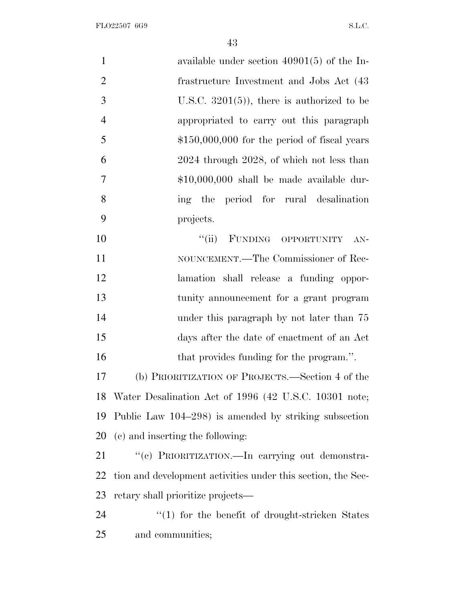FLO22507 6G9 S.L.C.

| $\mathbf{1}$   | available under section $40901(5)$ of the In-                |
|----------------|--------------------------------------------------------------|
| $\mathbf{2}$   | frastructure Investment and Jobs Act (43)                    |
| 3              | U.S.C. $3201(5)$ , there is authorized to be                 |
| $\overline{4}$ | appropriated to carry out this paragraph                     |
| 5              | $$150,000,000$ for the period of fiscal years                |
| 6              | 2024 through 2028, of which not less than                    |
| 7              | $$10,000,000$ shall be made available dur-                   |
| 8              | ing the period for rural desalination                        |
| 9              | projects.                                                    |
| 10             | "(ii) FUNDING OPPORTUNITY<br>$AN-$                           |
| 11             | NOUNCEMENT.—The Commissioner of Rec-                         |
| 12             | lamation shall release a funding oppor-                      |
| 13             | tunity announcement for a grant program                      |
| 14             | under this paragraph by not later than 75                    |
| 15             | days after the date of enactment of an Act                   |
| 16             | that provides funding for the program.".                     |
| 17             | (b) PRIORITIZATION OF PROJECTS.—Section 4 of the             |
|                | 18 Water Desalination Act of 1996 (42 U.S.C. 10301 note;     |
| 19             | Public Law 104–298) is amended by striking subsection        |
| 20             | (c) and inserting the following:                             |
| 21             | "(c) PRIORITIZATION.—In carrying out demonstra-              |
| 22             | tion and development activities under this section, the Sec- |
| 23             | retary shall prioritize projects—                            |
| 24             | $``(1)$ for the benefit of drought-stricken States           |
| 25             | and communities;                                             |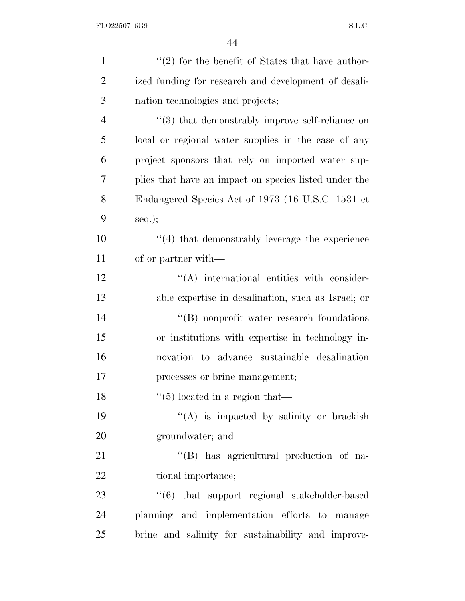| $\lq(2)$ for the benefit of States that have author-        |
|-------------------------------------------------------------|
| ized funding for research and development of desali-        |
| nation technologies and projects;                           |
| $\cdot\cdot$ (3) that demonstrably improve self-reliance on |
| local or regional water supplies in the case of any         |
| project sponsors that rely on imported water sup-           |
| plies that have an impact on species listed under the       |
| Endangered Species Act of 1973 (16 U.S.C. 1531 et           |
| $seq.$ ;                                                    |
| $\cdot$ (4) that demonstrably leverage the experience       |
| of or partner with—                                         |
| $\lq\lq$ international entities with consider-              |
| able expertise in desalination, such as Israel; or          |
| $\lq\lq (B)$ nonprofit water research foundations           |
| or institutions with expertise in technology in-            |
| novation to advance sustainable desalination                |
| processes or brine management;                              |
| $\lq(5)$ located in a region that—                          |
| $\lq\lq$ is impacted by salinity or brackish                |
| groundwater; and                                            |
| "(B) has agricultural production of na-                     |
| tional importance;                                          |
| "(6) that support regional stakeholder-based                |
| planning and implementation efforts to manage               |
| brine and salinity for sustainability and improve-          |
|                                                             |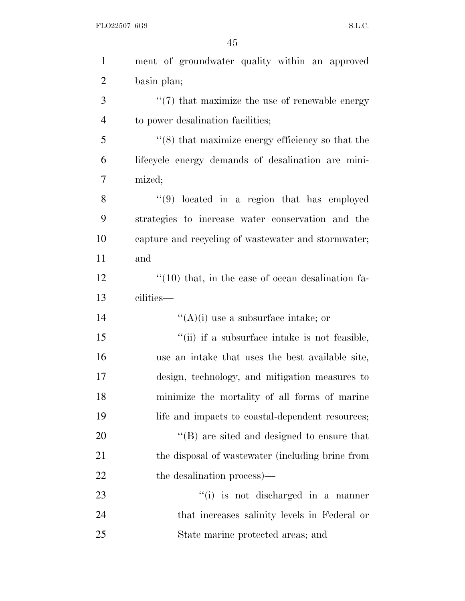FLO22507 6G9 S.L.C.

| $\mathbf{1}$   | ment of groundwater quality within an approved               |
|----------------|--------------------------------------------------------------|
| $\overline{2}$ | basin plan;                                                  |
| 3              | $\lq(7)$ that maximize the use of renewable energy           |
| $\overline{4}$ | to power desalination facilities;                            |
| 5              | $\cdot\cdot$ (8) that maximize energy efficiency so that the |
| 6              | lifecycle energy demands of desalination are mini-           |
| 7              | mized;                                                       |
| 8              | $(9)$ located in a region that has employed                  |
| 9              | strategies to increase water conservation and the            |
| 10             | capture and recycling of wastewater and stormwater;          |
| 11             | and                                                          |
| 12             | $\cdot$ (10) that, in the case of ocean desalination fa-     |
| 13             | cilities—                                                    |
|                |                                                              |
| 14             | $\lq\lq$ (A)(i) use a subsurface intake; or                  |
| 15             | "(ii) if a subsurface intake is not feasible,                |
| 16             | use an intake that uses the best available site,             |
| 17             | design, technology, and mitigation measures to               |
| 18             | minimize the mortality of all forms of marine                |
| 19             | life and impacts to coastal-dependent resources;             |
| 20             | $\lq\lq (B)$ are sited and designed to ensure that           |
| 21             | the disposal of wastewater (including brine from             |
| 22             | the desalination process)—                                   |
| 23             | $f'(i)$ is not discharged in a manner                        |
| 24             | that increases salinity levels in Federal or                 |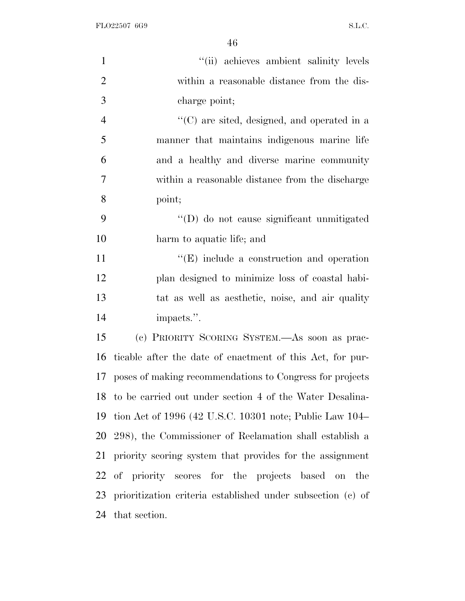| $\mathbf{1}$   | "(ii) achieves ambient salinity levels                      |
|----------------|-------------------------------------------------------------|
| $\overline{2}$ | within a reasonable distance from the dis-                  |
| 3              | charge point;                                               |
| $\overline{4}$ | $\lq\lq$ (C) are sited, designed, and operated in a         |
| 5              | manner that maintains indigenous marine life                |
| 6              | and a healthy and diverse marine community                  |
| 7              | within a reasonable distance from the discharge             |
| 8              | point;                                                      |
| 9              | "(D) do not cause significant unmitigated                   |
| 10             | harm to aquatic life; and                                   |
| 11             | $\lq\lq(E)$ include a construction and operation            |
| 12             | plan designed to minimize loss of coastal habi-             |
| 13             | tat as well as aesthetic, noise, and air quality            |
| 14             | impacts.".                                                  |
| 15             | (c) PRIORITY SCORING SYSTEM.—As soon as prac-               |
| 16             | ticable after the date of enactment of this Act, for pur-   |
| 17             | poses of making recommendations to Congress for projects    |
|                | 18 to be carried out under section 4 of the Water Desalina- |
|                | 19 tion Act of 1996 (42 U.S.C. 10301 note; Public Law 104–  |
|                | 20 298), the Commissioner of Reclamation shall establish a  |
|                | 21 priority scoring system that provides for the assignment |
|                | 22 of priority scores for the projects based on the         |
| 23             | prioritization criteria established under subsection (c) of |
| 24             | that section.                                               |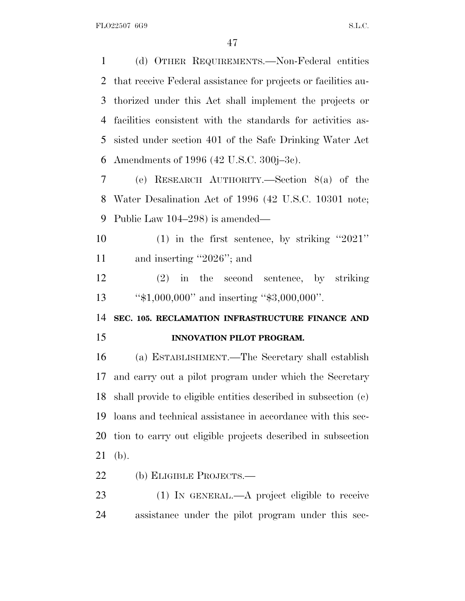(d) OTHER REQUIREMENTS.—Non-Federal entities that receive Federal assistance for projects or facilities au- thorized under this Act shall implement the projects or facilities consistent with the standards for activities as- sisted under section 401 of the Safe Drinking Water Act Amendments of 1996 (42 U.S.C. 300j–3c). (e) RESEARCH AUTHORITY.—Section 8(a) of the Water Desalination Act of 1996 (42 U.S.C. 10301 note; Public Law 104–298) is amended— (1) in the first sentence, by striking ''2021'' and inserting ''2026''; and (2) in the second sentence, by striking

''\$1,000,000'' and inserting ''\$3,000,000''.

**SEC. 105. RECLAMATION INFRASTRUCTURE FINANCE AND**

## **INNOVATION PILOT PROGRAM.**

 (a) ESTABLISHMENT.—The Secretary shall establish and carry out a pilot program under which the Secretary shall provide to eligible entities described in subsection (c) loans and technical assistance in accordance with this sec- tion to carry out eligible projects described in subsection (b).

(b) ELIGIBLE PROJECTS.—

 (1) IN GENERAL.—A project eligible to receive assistance under the pilot program under this sec-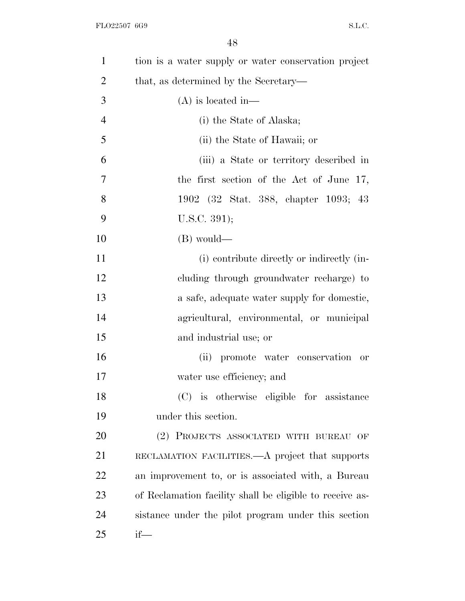| $\mathbf{1}$   | tion is a water supply or water conservation project     |
|----------------|----------------------------------------------------------|
| $\overline{2}$ | that, as determined by the Secretary-                    |
| 3              | $(A)$ is located in—                                     |
| $\overline{4}$ | (i) the State of Alaska;                                 |
| 5              | (ii) the State of Hawaii; or                             |
| 6              | (iii) a State or territory described in                  |
| $\overline{7}$ | the first section of the Act of June 17,                 |
| 8              | 1902 (32 Stat. 388, chapter 1093; 43                     |
| 9              | U.S.C. 391);                                             |
| 10             | (B) would—                                               |
| 11             | (i) contribute directly or indirectly (in-               |
| 12             | cluding through groundwater recharge) to                 |
| 13             | a safe, adequate water supply for domestic,              |
| 14             | agricultural, environmental, or municipal                |
| 15             | and industrial use; or                                   |
| 16             | (ii) promote water conservation or                       |
| 17             | water use efficiency; and                                |
| 18             | (C) is otherwise eligible for assistance                 |
| 19             | under this section.                                      |
| 20             | (2) PROJECTS ASSOCIATED WITH BUREAU OF                   |
| 21             | RECLAMATION FACILITIES.—A project that supports          |
| 22             | an improvement to, or is associated with, a Bureau       |
| 23             | of Reclamation facility shall be eligible to receive as- |
| 24             | sistance under the pilot program under this section      |
| 25             | $if$ —                                                   |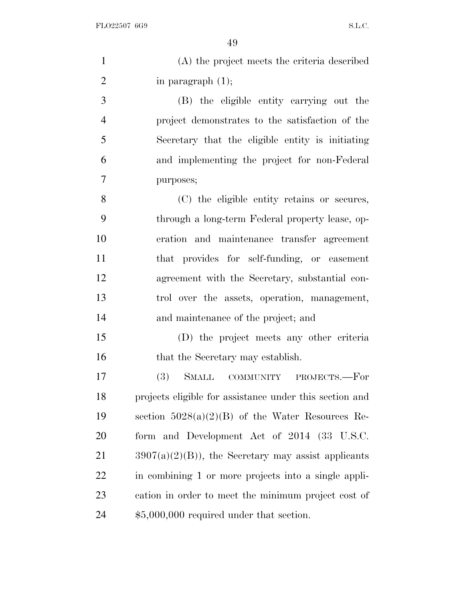| $\mathbf{1}$   | (A) the project meets the criteria described            |
|----------------|---------------------------------------------------------|
| $\overline{2}$ | in paragraph $(1)$ ;                                    |
| 3              | (B) the eligible entity carrying out the                |
| $\overline{4}$ | project demonstrates to the satisfaction of the         |
| 5              | Secretary that the eligible entity is initiating        |
| 6              | and implementing the project for non-Federal            |
| 7              | purposes;                                               |
| 8              | (C) the eligible entity retains or secures,             |
| 9              | through a long-term Federal property lease, op-         |
| 10             | eration and maintenance transfer agreement              |
| 11             | that provides for self-funding, or easement             |
| 12             | agreement with the Secretary, substantial con-          |
| 13             | trol over the assets, operation, management,            |
| 14             | and maintenance of the project; and                     |
| 15             | (D) the project meets any other criteria                |
| 16             | that the Secretary may establish.                       |
| 17             | <b>SMALL</b><br><b>(3)</b><br>COMMUNITY PROJECTS.—For   |
| 18             | projects eligible for assistance under this section and |
| 19             | section $5028(a)(2)(B)$ of the Water Resources Re-      |
| 20             | form and Development Act of 2014 (33 U.S.C.             |
| 21             | $3907(a)(2)(B)$ , the Secretary may assist applicants   |
| 22             | in combining 1 or more projects into a single appli-    |
| 23             | cation in order to meet the minimum project cost of     |
| 24             | $$5,000,000$ required under that section.               |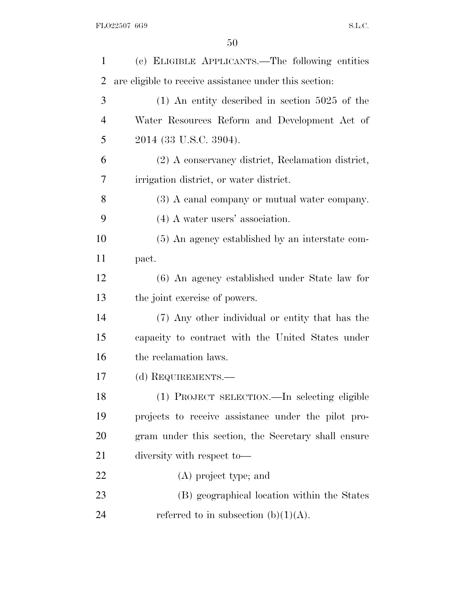| 1              | (c) ELIGIBLE APPLICANTS.—The following entities        |
|----------------|--------------------------------------------------------|
| 2              | are eligible to receive assistance under this section: |
| 3              | $(1)$ An entity described in section 5025 of the       |
| $\overline{4}$ | Water Resources Reform and Development Act of          |
| 5              | 2014 (33 U.S.C. 3904).                                 |
| 6              | (2) A conservancy district, Reclamation district,      |
| 7              | irrigation district, or water district.                |
| 8              | (3) A canal company or mutual water company.           |
| 9              | $(4)$ A water users' association.                      |
| 10             | (5) An agency established by an interstate com-        |
| 11             | pact.                                                  |
| 12             | (6) An agency established under State law for          |
| 13             | the joint exercise of powers.                          |
| 14             | (7) Any other individual or entity that has the        |
| 15             | capacity to contract with the United States under      |
| 16             | the reclamation laws.                                  |
| 17             | (d) REQUIREMENTS.—                                     |
| 18             | (1) PROJECT SELECTION.—In selecting eligible           |
| 19             | projects to receive assistance under the pilot pro-    |
| 20             | gram under this section, the Secretary shall ensure    |
| 21             | diversity with respect to-                             |
| 22             | (A) project type; and                                  |
| 23             | (B) geographical location within the States            |
| 24             | referred to in subsection (b) $(1)(A)$ .               |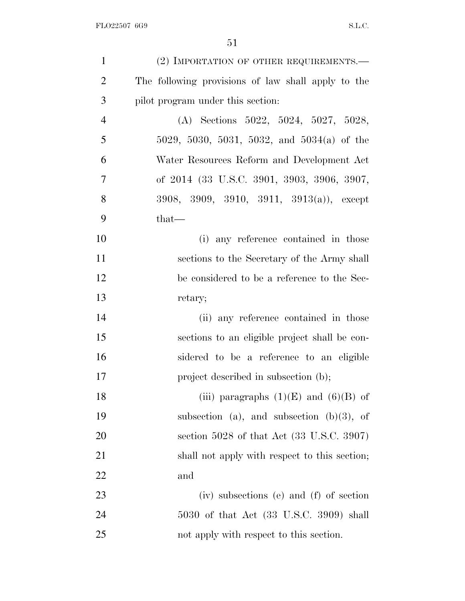| $\mathbf{1}$   | (2) IMPORTATION OF OTHER REQUIREMENTS.—                |
|----------------|--------------------------------------------------------|
| $\overline{2}$ | The following provisions of law shall apply to the     |
| 3              | pilot program under this section:                      |
| $\overline{4}$ | (A) Sections $5022, 5024, 5027, 5028,$                 |
| 5              | 5029, 5030, 5031, 5032, and 5034(a) of the             |
| 6              | Water Resources Reform and Development Act             |
| 7              | of 2014 (33 U.S.C. 3901, 3903, 3906, 3907,             |
| 8              | 3908, 3909, 3910, 3911, 3913(a)), except               |
| 9              | $that-$                                                |
| 10             | (i) any reference contained in those                   |
| 11             | sections to the Secretary of the Army shall            |
| 12             | be considered to be a reference to the Sec-            |
| 13             | retary;                                                |
| 14             | (ii) any reference contained in those                  |
| 15             | sections to an eligible project shall be con-          |
| 16             | sidered to be a reference to an eligible               |
| 17             | project described in subsection (b);                   |
| 18             | (iii) paragraphs $(1)(E)$ and $(6)(B)$ of              |
| 19             | subsection (a), and subsection $(b)(3)$ , of           |
| 20             | section $5028$ of that Act $(33 \text{ U.S.C. } 3907)$ |
| 21             | shall not apply with respect to this section;          |
| 22             | and                                                    |
| 23             | (iv) subsections (e) and (f) of section                |
| 24             | 5030 of that Act (33 U.S.C. 3909) shall                |
| 25             | not apply with respect to this section.                |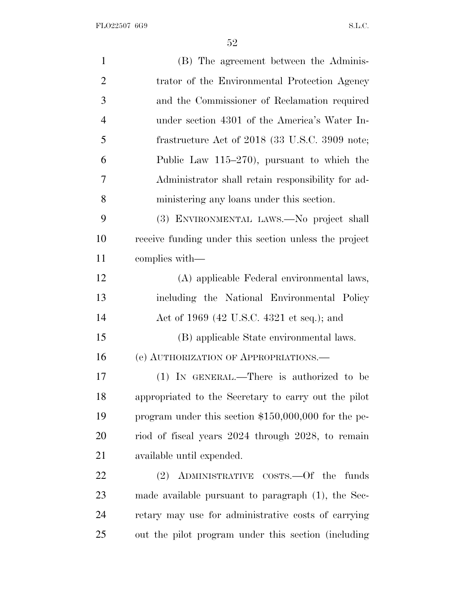FLO22507 6G9 S.L.C.

| $\mathbf{1}$   | (B) The agreement between the Adminis-                |
|----------------|-------------------------------------------------------|
| $\overline{2}$ | trator of the Environmental Protection Agency         |
| 3              | and the Commissioner of Reclamation required          |
| $\overline{4}$ | under section 4301 of the America's Water In-         |
| 5              | frastructure Act of 2018 (33 U.S.C. 3909 note;        |
| 6              | Public Law $115-270$ , pursuant to which the          |
| 7              | Administrator shall retain responsibility for ad-     |
| 8              | ministering any loans under this section.             |
| 9              | (3) ENVIRONMENTAL LAWS.—No project shall              |
| 10             | receive funding under this section unless the project |
| 11             | complies with—                                        |
| 12             | (A) applicable Federal environmental laws,            |
| 13             | including the National Environmental Policy           |
| 14             | Act of 1969 (42 U.S.C. 4321 et seq.); and             |
| 15             | (B) applicable State environmental laws.              |
| 16             | (e) AUTHORIZATION OF APPROPRIATIONS.                  |
| 17             | (1) IN GENERAL.—There is authorized to be             |
| 18             | appropriated to the Secretary to carry out the pilot  |
| 19             | program under this section $$150,000,000$ for the pe- |
| 20             | riod of fiscal years 2024 through 2028, to remain     |
| 21             | available until expended.                             |
| 22             | ADMINISTRATIVE COSTS. Of the funds<br>(2)             |
| 23             | made available pursuant to paragraph $(1)$ , the Sec- |
| 24             | retary may use for administrative costs of carrying   |
| 25             | out the pilot program under this section (including   |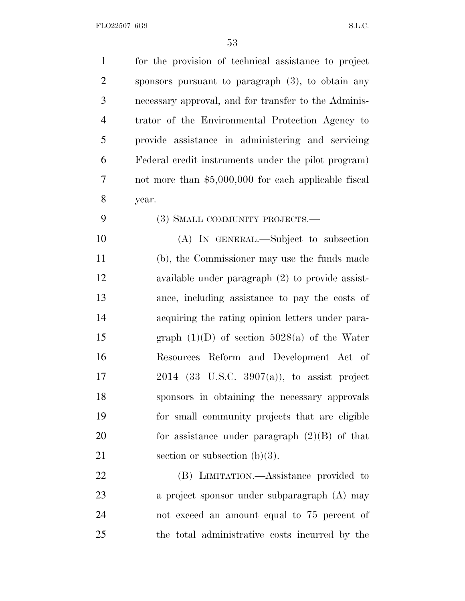| $\mathbf{1}$   | for the provision of technical assistance to project |
|----------------|------------------------------------------------------|
| $\overline{2}$ | sponsors pursuant to paragraph $(3)$ , to obtain any |
| 3              | necessary approval, and for transfer to the Adminis- |
| $\overline{4}$ | trator of the Environmental Protection Agency to     |
| 5              | provide assistance in administering and servicing    |
| 6              | Federal credit instruments under the pilot program)  |
| 7              | not more than \$5,000,000 for each applicable fiscal |
| 8              | year.                                                |
| 9              | (3) SMALL COMMUNITY PROJECTS.—                       |
| 10             | (A) IN GENERAL.—Subject to subsection                |
| 11             | (b), the Commissioner may use the funds made         |
| 12             | available under paragraph $(2)$ to provide assist-   |
| 13             | ance, including assistance to pay the costs of       |
| 14             | acquiring the rating opinion letters under para-     |
| 15             | graph $(1)(D)$ of section 5028(a) of the Water       |
| 16             | Resources Reform and Development Act of              |
| 17             | $2014$ (33 U.S.C. 3907(a)), to assist project        |
| 18             | sponsors in obtaining the necessary approvals        |
| 19             | for small community projects that are eligible       |
| 20             | for assistance under paragraph $(2)(B)$ of that      |
| 21             | section or subsection $(b)(3)$ .                     |
| 22             | (B) LIMITATION.—Assistance provided to               |
| 23             | a project sponsor under subparagraph (A) may         |
| 24             | not exceed an amount equal to 75 percent of          |
| 25             | the total administrative costs incurred by the       |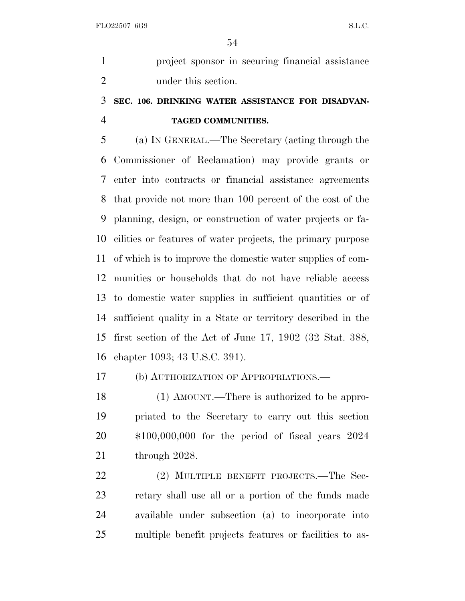project sponsor in securing financial assistance under this section.

## **SEC. 106. DRINKING WATER ASSISTANCE FOR DISADVAN-TAGED COMMUNITIES.**

 (a) I<sup>N</sup> GENERAL.—The Secretary (acting through the Commissioner of Reclamation) may provide grants or enter into contracts or financial assistance agreements that provide not more than 100 percent of the cost of the planning, design, or construction of water projects or fa- cilities or features of water projects, the primary purpose of which is to improve the domestic water supplies of com- munities or households that do not have reliable access to domestic water supplies in sufficient quantities or of sufficient quality in a State or territory described in the first section of the Act of June 17, 1902 (32 Stat. 388, chapter 1093; 43 U.S.C. 391).

(b) AUTHORIZATION OF APPROPRIATIONS.—

18 (1) AMOUNT.—There is authorized to be appro- priated to the Secretary to carry out this section \$100,000,000 for the period of fiscal years 2024 through 2028.

22 (2) MULTIPLE BENEFIT PROJECTS.—The Sec- retary shall use all or a portion of the funds made available under subsection (a) to incorporate into multiple benefit projects features or facilities to as-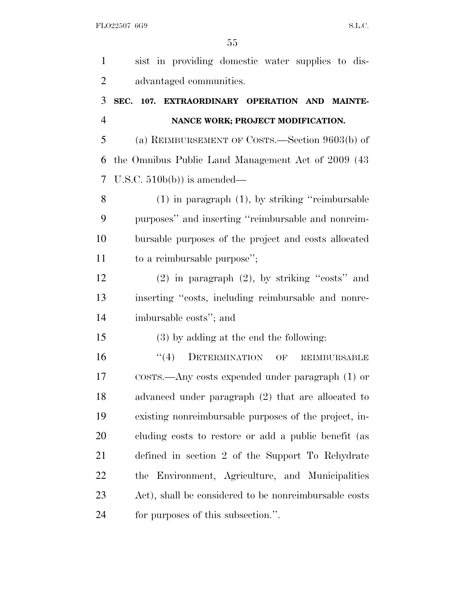| $\mathbf{1}$   | sist in providing domestic water supplies to dis-      |
|----------------|--------------------------------------------------------|
| $\overline{2}$ | advantaged communities.                                |
| 3              | SEC. 107. EXTRAORDINARY OPERATION AND MAINTE-          |
| $\overline{4}$ | NANCE WORK; PROJECT MODIFICATION.                      |
| 5              | (a) REIMBURSEMENT OF COSTS.—Section $9603(b)$ of       |
| 6              | the Omnibus Public Land Management Act of 2009 (43)    |
| 7              | U.S.C. $510b(b)$ is amended—                           |
| 8              | $(1)$ in paragraph $(1)$ , by striking "reimbursable"  |
| 9              | purposes" and inserting "reimbursable and nonreim-     |
| 10             | bursable purposes of the project and costs allocated   |
| 11             | to a reimbursable purpose";                            |
| 12             | $(2)$ in paragraph $(2)$ , by striking "costs" and     |
| 13             | inserting "costs, including reimbursable and nonre-    |
| 14             | imbursable costs"; and                                 |
| 15             | (3) by adding at the end the following:                |
| 16             | DETERMINATION OF<br>(4)<br><b>REIMBURSABLE</b>         |
| 17             | $\cos$ rs.—Any costs expended under paragraph $(1)$ or |
| 18             | advanced under paragraph (2) that are allocated to     |
| 19             | existing nonreimbursable purposes of the project, in-  |
| 20             | cluding costs to restore or add a public benefit (as   |
| 21             | defined in section 2 of the Support To Rehydrate       |
| 22             | the Environment, Agriculture, and Municipalities       |
| 23             | Act), shall be considered to be nonreimbursable costs  |
| 24             | for purposes of this subsection.".                     |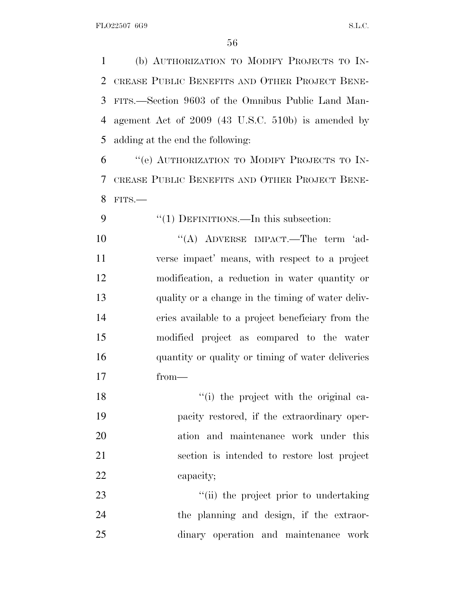(b) AUTHORIZATION TO MODIFY PROJECTS TO IN- CREASE PUBLIC BENEFITS AND OTHER PROJECT BENE- FITS.—Section 9603 of the Omnibus Public Land Man- agement Act of 2009 (43 U.S.C. 510b) is amended by adding at the end the following:

 ''(e) AUTHORIZATION TO MODIFY PROJECTS TO IN- CREASE PUBLIC BENEFITS AND OTHER PROJECT BENE-FITS.—

 $\frac{4}{1}$  DEFINITIONS.—In this subsection: 10 "(A) ADVERSE IMPACT.—The term 'ad- verse impact' means, with respect to a project modification, a reduction in water quantity or quality or a change in the timing of water deliv- eries available to a project beneficiary from the modified project as compared to the water quantity or quality or timing of water deliveries from—

18 ''(i) the project with the original ca- pacity restored, if the extraordinary oper- ation and maintenance work under this section is intended to restore lost project 22 capacity;

23  $\frac{1}{1}$  the project prior to undertaking the planning and design, if the extraor-dinary operation and maintenance work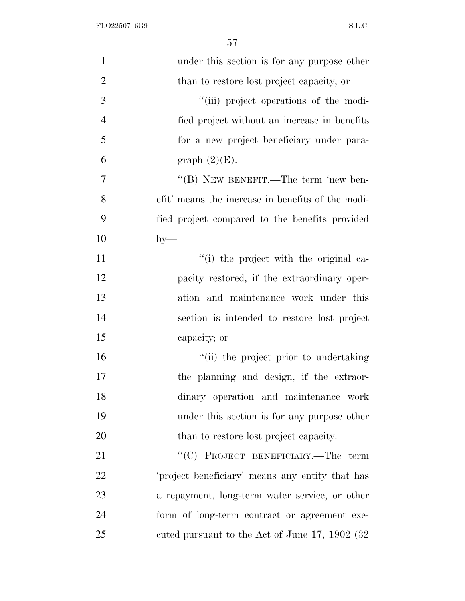| $\mathbf{1}$   | under this section is for any purpose other       |
|----------------|---------------------------------------------------|
| $\overline{2}$ | than to restore lost project capacity; or         |
| 3              | "(iii) project operations of the modi-            |
| $\overline{4}$ | fied project without an increase in benefits      |
| 5              | for a new project beneficiary under para-         |
| 6              | graph $(2)(E)$ .                                  |
| 7              | "(B) NEW BENEFIT.—The term 'new ben-              |
| 8              | efit' means the increase in benefits of the modi- |
| 9              | fied project compared to the benefits provided    |
| 10             | $by-$                                             |
| 11             | "(i) the project with the original ca-            |
| 12             | pacity restored, if the extraordinary oper-       |
| 13             | ation and maintenance work under this             |
| 14             | section is intended to restore lost project       |
| 15             | capacity; or                                      |
| 16             | "(ii) the project prior to undertaking            |
| 17             | the planning and design, if the extraor-          |
| 18             | dinary operation and maintenance work             |
| 19             | under this section is for any purpose other       |
| 20             | than to restore lost project capacity.            |
| 21             | " $(C)$ PROJECT BENEFICIARY.—The term             |
| 22             | 'project beneficiary' means any entity that has   |
| 23             | a repayment, long-term water service, or other    |
| 24             | form of long-term contract or agreement exe-      |
| 25             | cuted pursuant to the Act of June 17, 1902 (32)   |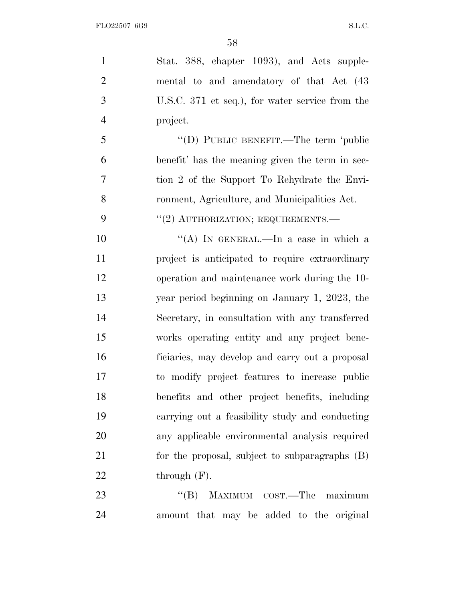Stat. 388, chapter 1093), and Acts supple- mental to and amendatory of that Act (43 U.S.C. 371 et seq.), for water service from the project. ''(D) PUBLIC BENEFIT.—The term 'public benefit' has the meaning given the term in sec- tion 2 of the Support To Rehydrate the Envi- ronment, Agriculture, and Municipalities Act. 9 "(2) AUTHORIZATION; REQUIREMENTS.— 10 "(A) IN GENERAL.—In a case in which a project is anticipated to require extraordinary operation and maintenance work during the 10- year period beginning on January 1, 2023, the Secretary, in consultation with any transferred works operating entity and any project bene- ficiaries, may develop and carry out a proposal to modify project features to increase public benefits and other project benefits, including carrying out a feasibility study and conducting any applicable environmental analysis required for the proposal, subject to subparagraphs (B) 22 through  $(F)$ . 23 "'(B) MAXIMUM COST.—The maximum

amount that may be added to the original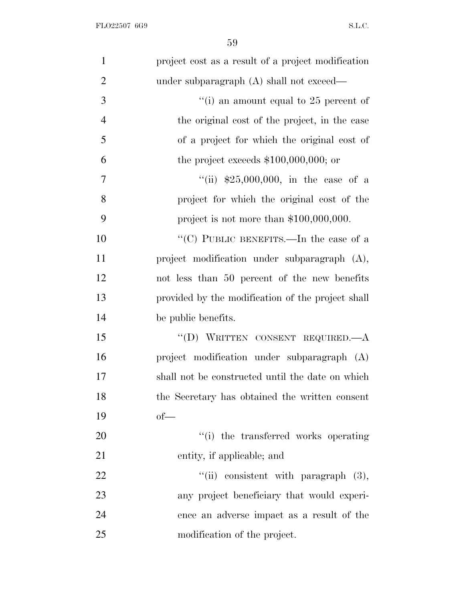| $\mathbf{1}$   | project cost as a result of a project modification |
|----------------|----------------------------------------------------|
| $\overline{2}$ | under subparagraph $(A)$ shall not exceed—         |
| 3              | "(i) an amount equal to $25$ percent of            |
| $\overline{4}$ | the original cost of the project, in the case      |
| 5              | of a project for which the original cost of        |
| 6              | the project exceeds $$100,000,000;$ or             |
| $\overline{7}$ | "(ii) $$25,000,000$ , in the case of a             |
| 8              | project for which the original cost of the         |
| 9              | project is not more than $$100,000,000$ .          |
| 10             | "(C) PUBLIC BENEFITS.—In the case of a             |
| 11             | project modification under subparagraph (A),       |
| 12             | not less than 50 percent of the new benefits       |
| 13             | provided by the modification of the project shall  |
| 14             | be public benefits.                                |
| 15             | "(D) WRITTEN CONSENT REQUIRED. $-A$                |
| 16             | project modification under subparagraph (A)        |
| 17             | shall not be constructed until the date on which   |
| 18             | the Secretary has obtained the written consent     |
| 19             | $of$ —                                             |
| 20             | "(i) the transferred works operating               |
| 21             | entity, if applicable; and                         |
| 22             | "(ii) consistent with paragraph $(3)$ ,            |
| 23             | any project beneficiary that would experi-         |
| 24             | ence an adverse impact as a result of the          |
| 25             | modification of the project.                       |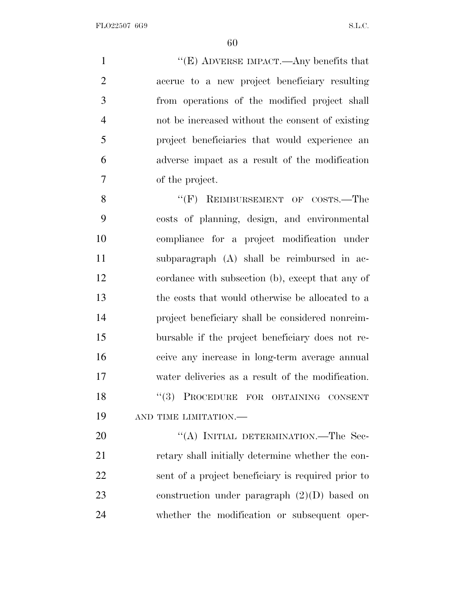''(E) ADVERSE IMPACT.—Any benefits that accrue to a new project beneficiary resulting from operations of the modified project shall not be increased without the consent of existing project beneficiaries that would experience an adverse impact as a result of the modification of the project.

8 "(F) REIMBURSEMENT OF COSTS.—The costs of planning, design, and environmental compliance for a project modification under subparagraph (A) shall be reimbursed in ac- cordance with subsection (b), except that any of the costs that would otherwise be allocated to a project beneficiary shall be considered nonreim- bursable if the project beneficiary does not re- ceive any increase in long-term average annual water deliveries as a result of the modification. 18 "(3) PROCEDURE FOR OBTAINING CONSENT AND TIME LIMITATION.—

20 "(A) INITIAL DETERMINATION.—The Sec- retary shall initially determine whether the con- sent of a project beneficiary is required prior to construction under paragraph (2)(D) based on whether the modification or subsequent oper-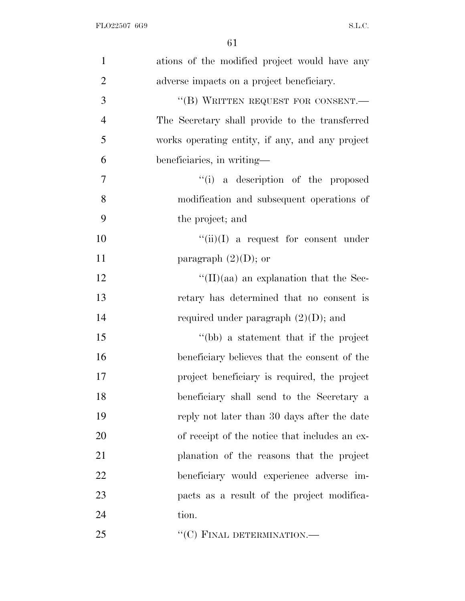| $\mathbf{1}$   | ations of the modified project would have any   |
|----------------|-------------------------------------------------|
| $\overline{2}$ | adverse impacts on a project beneficiary.       |
| 3              | "(B) WRITTEN REQUEST FOR CONSENT.-              |
| $\overline{4}$ | The Secretary shall provide to the transferred  |
| 5              | works operating entity, if any, and any project |
| 6              | beneficiaries, in writing—                      |
| $\overline{7}$ | "(i) a description of the proposed              |
| 8              | modification and subsequent operations of       |
| 9              | the project; and                                |
| 10             | $\lq\lq$ (ii)(I) a request for consent under    |
| 11             | paragraph $(2)(D)$ ; or                         |
| 12             | $\lq\lq$ (II)(aa) an explanation that the Sec-  |
| 13             | retary has determined that no consent is        |
| 14             | required under paragraph $(2)(D)$ ; and         |
| 15             | "(bb) a statement that if the project           |
| 16             | beneficiary believes that the consent of the    |
| 17             | project beneficiary is required, the project    |
| 18             | beneficiary shall send to the Secretary a       |
| 19             | reply not later than 30 days after the date     |
| 20             | of receipt of the notice that includes an ex-   |
| 21             | planation of the reasons that the project       |
| 22             | beneficiary would experience adverse im-        |
| 23             | pacts as a result of the project modifica-      |
| 24             | tion.                                           |
| 25             | "(C) FINAL DETERMINATION.—                      |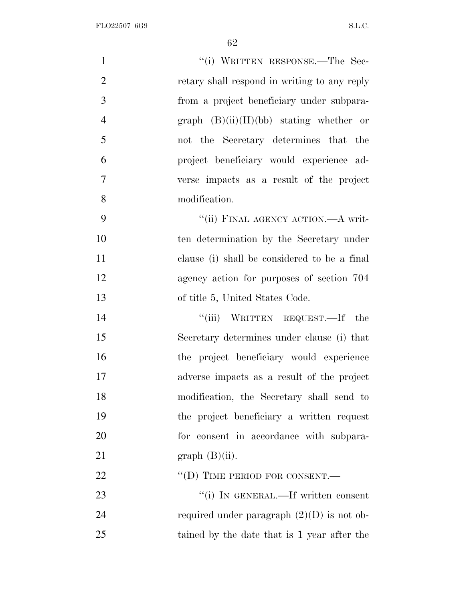| $\mathbf{1}$   | "(i) WRITTEN RESPONSE.—The Sec-              |
|----------------|----------------------------------------------|
| $\overline{2}$ | retary shall respond in writing to any reply |
| 3              | from a project beneficiary under subpara-    |
| $\overline{4}$ | graph $(B)(ii)(II)(bb)$ stating whether or   |
| 5              | not the Secretary determines that the        |
| 6              | project beneficiary would experience ad-     |
| $\tau$         | verse impacts as a result of the project     |
| 8              | modification.                                |
| 9              | "(ii) FINAL AGENCY ACTION.—A writ-           |
| 10             | ten determination by the Secretary under     |
| 11             | clause (i) shall be considered to be a final |
| 12             | agency action for purposes of section 704    |
| 13             | of title 5, United States Code.              |
| 14             | "(iii) WRITTEN REQUEST.—If the               |
| 15             | Secretary determines under clause (i) that   |
| 16             | the project beneficiary would experience     |
| 17             | adverse impacts as a result of the project   |
| 18             | modification, the Secretary shall send to    |
| 19             | the project beneficiary a written request    |
| 20             | for consent in accordance with subpara-      |
| 21             | $graph(B)(ii)$ .                             |
| 22             | $\lq\lq$ (D) TIME PERIOD FOR CONSENT.—       |
| 23             | "(i) IN GENERAL.—If written consent          |
| 24             | required under paragraph $(2)(D)$ is not ob- |
| 25             | tained by the date that is 1 year after the  |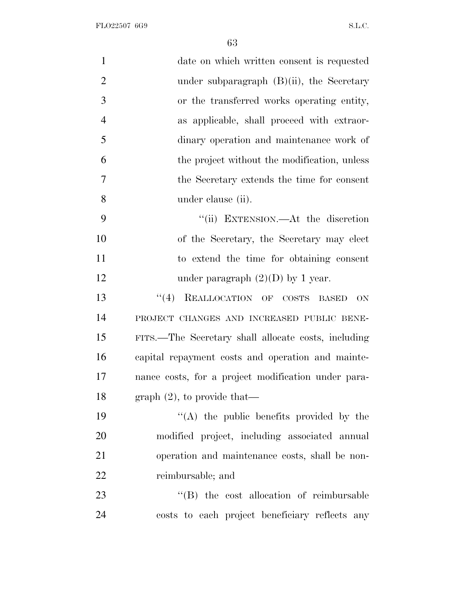FLO22507 6G9 S.L.C.

| $\mathbf{1}$   | date on which written consent is requested                |
|----------------|-----------------------------------------------------------|
| $\overline{2}$ | under subparagraph $(B)(ii)$ , the Secretary              |
| 3              | or the transferred works operating entity,                |
| $\overline{4}$ | as applicable, shall proceed with extraor-                |
| 5              | dinary operation and maintenance work of                  |
| 6              | the project without the modification, unless              |
| 7              | the Secretary extends the time for consent                |
| 8              | under clause (ii).                                        |
| 9              | "(ii) EXTENSION.—At the discretion                        |
| 10             | of the Secretary, the Secretary may elect                 |
| 11             | to extend the time for obtaining consent                  |
| 12             | under paragraph $(2)(D)$ by 1 year.                       |
| 13             | REALLOCATION OF COSTS<br>(4)<br><b>BASED</b><br><b>ON</b> |
| 14             | PROJECT CHANGES AND INCREASED PUBLIC BENE-                |
| 15             | FITS.—The Secretary shall allocate costs, including       |
| 16             | capital repayment costs and operation and mainte-         |
| 17             | nance costs, for a project modification under para-       |
| 18             | graph $(2)$ , to provide that—                            |
| 19             | "(A) the public benefits provided by the                  |
| 20             | modified project, including associated annual             |
| 21             | operation and maintenance costs, shall be non-            |
| 22             | reimbursable; and                                         |
| 23             | "(B) the cost allocation of reimbursable                  |
| 24             | costs to each project beneficiary reflects any            |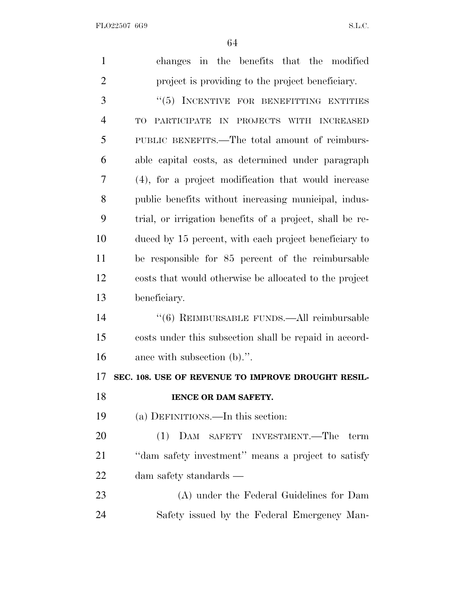FLO22507 6G9 S.L.C.

| $\mathbf{1}$   | changes in the benefits that the modified                |
|----------------|----------------------------------------------------------|
| $\overline{2}$ | project is providing to the project beneficiary.         |
| 3              | "(5) INCENTIVE FOR BENEFITTING ENTITIES                  |
| $\overline{4}$ | IN PROJECTS WITH INCREASED<br>TO<br>PARTICIPATE          |
| 5              | PUBLIC BENEFITS.—The total amount of reimburs-           |
| 6              | able capital costs, as determined under paragraph        |
| 7              | (4), for a project modification that would increase      |
| 8              | public benefits without increasing municipal, indus-     |
| 9              | trial, or irrigation benefits of a project, shall be re- |
| 10             | duced by 15 percent, with each project beneficiary to    |
| 11             | be responsible for 85 percent of the reimbursable        |
| 12             | costs that would otherwise be allocated to the project   |
| 13             | beneficiary.                                             |
| 14             | $``(6)$ REIMBURSABLE FUNDS.—All reimbursable             |
| 15             | costs under this subsection shall be repaid in accord-   |
| 16             | ance with subsection (b).".                              |
| 17             | SEC. 108. USE OF REVENUE TO IMPROVE DROUGHT RESIL-       |
| 18             | IENCE OR DAM SAFETY.                                     |
| 19             | (a) DEFINITIONS.—In this section:                        |
| 20             | (1) DAM SAFETY INVESTMENT.—The<br>term                   |
| 21             | "dam safety investment" means a project to satisfy       |
| 22             | dam safety standards —                                   |
| 23             | (A) under the Federal Guidelines for Dam                 |
| 24             | Safety issued by the Federal Emergency Man-              |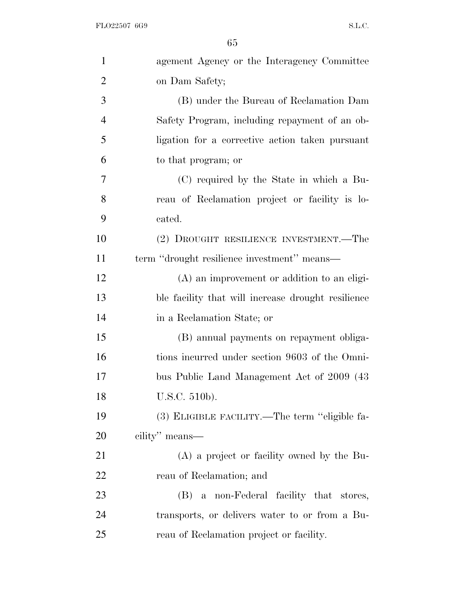| $\mathbf{1}$   | agement Agency or the Interagency Committee        |
|----------------|----------------------------------------------------|
| $\overline{2}$ | on Dam Safety;                                     |
| 3              | (B) under the Bureau of Reclamation Dam            |
| $\overline{4}$ | Safety Program, including repayment of an ob-      |
| 5              | ligation for a corrective action taken pursuant    |
| 6              | to that program; or                                |
| 7              | (C) required by the State in which a Bu-           |
| 8              | reau of Reclamation project or facility is lo-     |
| 9              | cated.                                             |
| 10             | (2) DROUGHT RESILIENCE INVESTMENT.—The             |
| 11             | term "drought resilience investment" means—        |
| 12             | $(A)$ an improvement or addition to an eligi-      |
| 13             | ble facility that will increase drought resilience |
| 14             | in a Reclamation State; or                         |
| 15             | (B) annual payments on repayment obliga-           |
| 16             | tions incurred under section 9603 of the Omni-     |
| 17             | bus Public Land Management Act of 2009 (43)        |
| 18             | U.S.C. 510b).                                      |
| 19             | (3) ELIGIBLE FACILITY.—The term "eligible fa-      |
| 20             | cility" means—                                     |
| 21             | (A) a project or facility owned by the Bu-         |
| 22             | reau of Reclamation; and                           |
| 23             | (B) a non-Federal facility that stores,            |
| 24             | transports, or delivers water to or from a Bu-     |
| 25             | reau of Reclamation project or facility.           |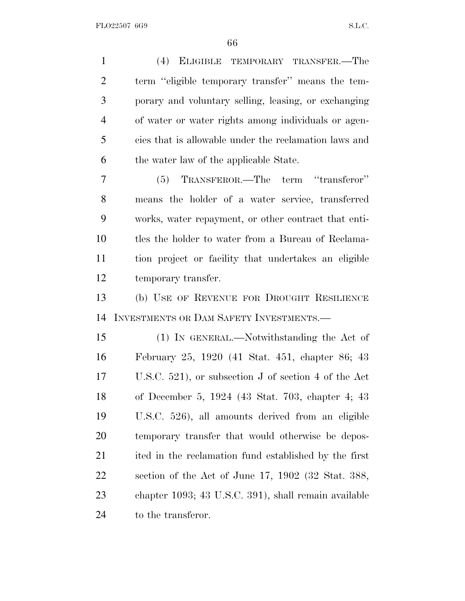(4) ELIGIBLE TEMPORARY TRANSFER.—The term ''eligible temporary transfer'' means the tem- porary and voluntary selling, leasing, or exchanging of water or water rights among individuals or agen- cies that is allowable under the reclamation laws and the water law of the applicable State. (5) TRANSFEROR.—The term ''transferor'' means the holder of a water service, transferred works, water repayment, or other contract that enti- tles the holder to water from a Bureau of Reclama- tion project or facility that undertakes an eligible temporary transfer. (b) USE OF REVENUE FOR DROUGHT RESILIENCE INVESTMENTS OR DAM SAFETY INVESTMENTS.— (1) IN GENERAL.—Notwithstanding the Act of February 25, 1920 (41 Stat. 451, chapter 86; 43 U.S.C. 521), or subsection J of section 4 of the Act of December 5, 1924 (43 Stat. 703, chapter 4; 43 U.S.C. 526), all amounts derived from an eligible temporary transfer that would otherwise be depos- ited in the reclamation fund established by the first section of the Act of June 17, 1902 (32 Stat. 388, chapter 1093; 43 U.S.C. 391), shall remain available 24 to the transferor.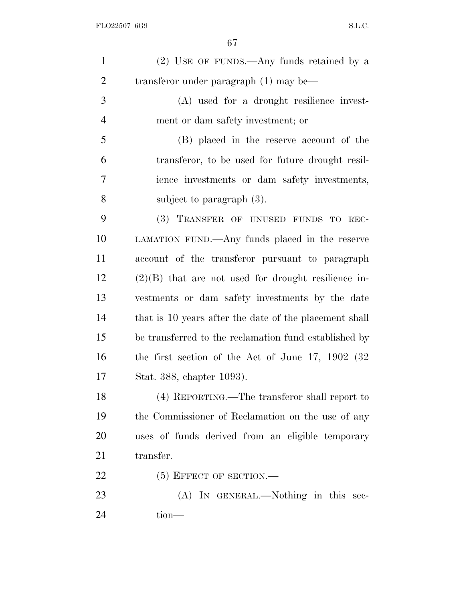| $\mathbf{1}$   | $(2)$ USE OF FUNDS.—Any funds retained by a            |
|----------------|--------------------------------------------------------|
| $\overline{2}$ | transferor under paragraph $(1)$ may be—               |
| 3              | (A) used for a drought resilience invest-              |
| $\overline{4}$ | ment or dam safety investment; or                      |
| 5              | (B) placed in the reserve account of the               |
| 6              | transferor, to be used for future drought resil-       |
| 7              | ience investments or dam safety investments,           |
| 8              | subject to paragraph $(3)$ .                           |
| 9              | (3) TRANSFER OF UNUSED FUNDS TO REC-                   |
| 10             | LAMATION FUND.—Any funds placed in the reserve         |
| 11             | account of the transferor pursuant to paragraph        |
| 12             | $(2)(B)$ that are not used for drought resilience in-  |
| 13             | vestments or dam safety investments by the date        |
| 14             | that is 10 years after the date of the placement shall |
| 15             | be transferred to the reclamation fund established by  |
| 16             | the first section of the Act of June 17, 1902 $(32)$   |
| 17             | Stat. 388, chapter 1093).                              |
| 18             | (4) REPORTING.—The transferor shall report to          |
| 19             | the Commissioner of Reclamation on the use of any      |
| 20             | uses of funds derived from an eligible temporary       |
| 21             | transfer.                                              |
| 22             | $(5)$ EFFECT OF SECTION.—                              |
| 23             | (A) IN GENERAL.—Nothing in this sec-                   |
| 24             | $tion-$                                                |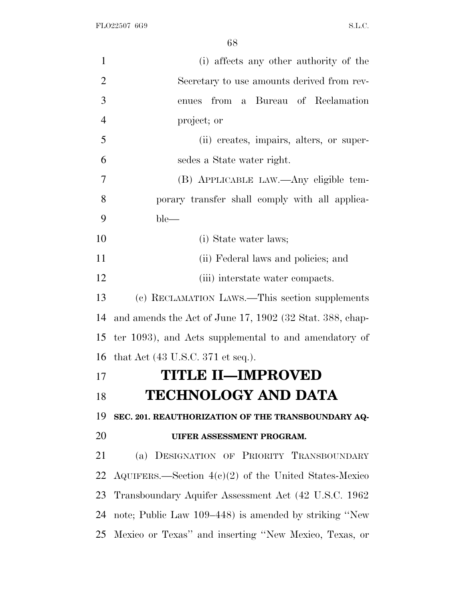| $\mathbf{1}$   | (i) affects any other authority of the                   |
|----------------|----------------------------------------------------------|
| $\overline{2}$ | Secretary to use amounts derived from rev-               |
| 3              | a Bureau of Reclamation<br>from<br>enues                 |
| $\overline{4}$ | project; or                                              |
| 5              | (ii) creates, impairs, alters, or super-                 |
| 6              | sedes a State water right.                               |
| 7              | (B) APPLICABLE LAW.—Any eligible tem-                    |
| 8              | porary transfer shall comply with all applica-           |
| 9              | $ble-$                                                   |
| 10             | (i) State water laws;                                    |
| 11             | (ii) Federal laws and policies; and                      |
| 12             | (iii) interstate water compacts.                         |
| 13             | (c) RECLAMATION LAWS.—This section supplements           |
| 14             | and amends the Act of June 17, 1902 (32 Stat. 388, chap- |
| 15             | ter 1093), and Acts supplemental to and amendatory of    |
| 16             | that Act $(43 \text{ U.S.C. } 371 \text{ et seq.}).$     |
| 17             | <b>TITLE II—IMPROVED</b>                                 |
| 18             | <b>TECHNOLOGY AND DATA</b>                               |
| 19             | SEC. 201. REAUTHORIZATION OF THE TRANSBOUNDARY AQ-       |
| 20             | UIFER ASSESSMENT PROGRAM.                                |
| 21             | DESIGNATION OF PRIORITY TRANSBOUNDARY<br>(a)             |
| 22             | AQUIFERS.—Section $4(c)(2)$ of the United States-Mexico  |
| 23             | Transboundary Aquifer Assessment Act (42 U.S.C. 1962)    |
| 24             | note; Public Law 109–448) is amended by striking "New    |
| 25             | Mexico or Texas" and inserting "New Mexico, Texas, or    |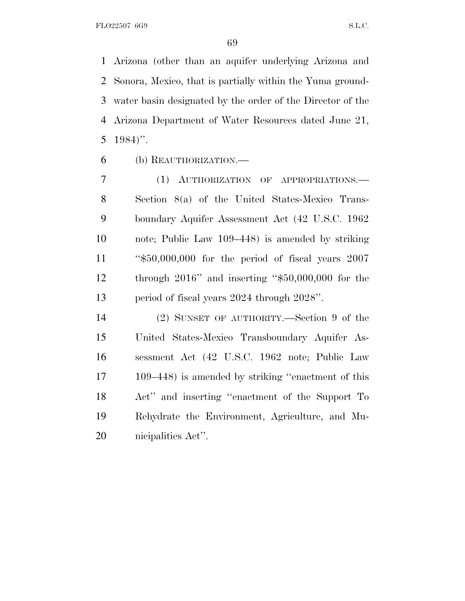Arizona (other than an aquifer underlying Arizona and Sonora, Mexico, that is partially within the Yuma ground- water basin designated by the order of the Director of the Arizona Department of Water Resources dated June 21, 1984)''.

(b) REAUTHORIZATION.—

 (1) AUTHORIZATION OF APPROPRIATIONS.— Section 8(a) of the United States-Mexico Trans- boundary Aquifer Assessment Act (42 U.S.C. 1962 note; Public Law 109–448) is amended by striking ''\$50,000,000 for the period of fiscal years 2007 through 2016'' and inserting ''\$50,000,000 for the period of fiscal years 2024 through 2028''.

 (2) SUNSET OF AUTHORITY.—Section 9 of the United States-Mexico Transboundary Aquifer As- sessment Act (42 U.S.C. 1962 note; Public Law 109–448) is amended by striking ''enactment of this Act'' and inserting ''enactment of the Support To Rehydrate the Environment, Agriculture, and Mu-nicipalities Act''.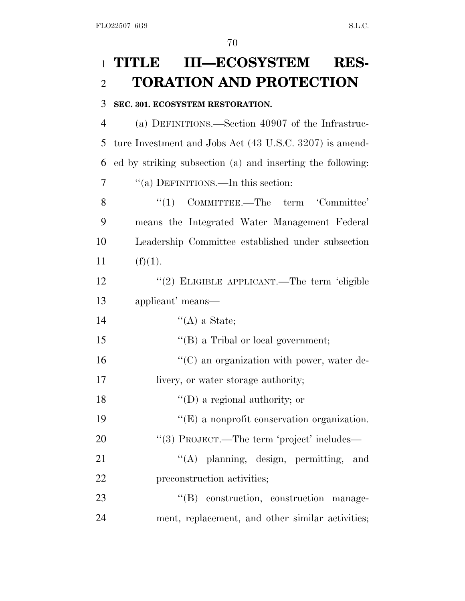## 1 **TITLE III—ECOSYSTEM RES-**2 **TORATION AND PROTECTION**

## 3 **SEC. 301. ECOSYSTEM RESTORATION.**

 (a) DEFINITIONS.—Section 40907 of the Infrastruc- ture Investment and Jobs Act (43 U.S.C. 3207) is amend- ed by striking subsection (a) and inserting the following: 7 ""(a) DEFINITIONS.—In this section:

8 "(1) COMMITTEE.—The term 'Committee' 9 means the Integrated Water Management Federal 10 Leadership Committee established under subsection 11  $(f)(1)$ .

12 "(2) ELIGIBLE APPLICANT.—The term 'eligible 13 applicant' means—

14  $"({\rm A})$  a State;

15 ''(B) a Tribal or local government;

16  $\cdot$  (C) an organization with power, water de-17 livery, or water storage authority;

18  $\text{``(D) a regional authority; or}$ 

19 ''(E) a nonprofit conservation organization.

20 "(3) PROJECT.—The term 'project' includes—

21 ''(A) planning, design, permitting, and 22 preconstruction activities;

23  $\text{``(B)}$  construction, construction manage-24 ment, replacement, and other similar activities;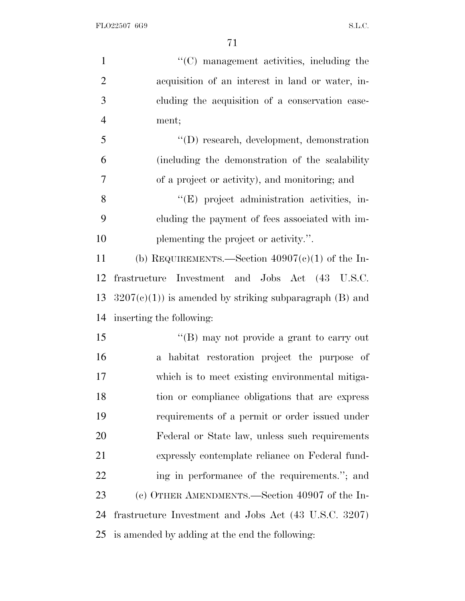| $\mathbf{1}$   | "(C) management activities, including the                |
|----------------|----------------------------------------------------------|
| $\overline{2}$ | acquisition of an interest in land or water, in-         |
| 3              | cluding the acquisition of a conservation ease-          |
| $\overline{4}$ | ment;                                                    |
| 5              | $\lq\lq$ (D) research, development, demonstration        |
| 6              | (including the demonstration of the scalability          |
| 7              | of a project or activity), and monitoring; and           |
| 8              | "(E) project administration activities, in-              |
| 9              | cluding the payment of fees associated with im-          |
| 10             | plementing the project or activity.".                    |
| 11             | (b) REQUIREMENTS.—Section $40907(c)(1)$ of the In-       |
| 12             | frastructure Investment and Jobs Act (43 U.S.C.          |
| 13             | $3207(c)(1)$ is amended by striking subparagraph (B) and |
| 14             | inserting the following:                                 |
| 15             | "(B) may not provide a grant to carry out                |
| 16             | a habitat restoration project the purpose of             |
| 17             | which is to meet existing environmental mitiga-          |
| 18             | tion or compliance obligations that are express          |
| 19             | requirements of a permit or order issued under           |
| 20             | Federal or State law, unless such requirements           |
| 21             | expressly contemplate reliance on Federal fund-          |
| 22             | ing in performance of the requirements."; and            |
| 23             | (c) OTHER AMENDMENTS.—Section 40907 of the In-           |
| 24             | frastructure Investment and Jobs Act (43 U.S.C. 3207)    |
| 25             | is amended by adding at the end the following:           |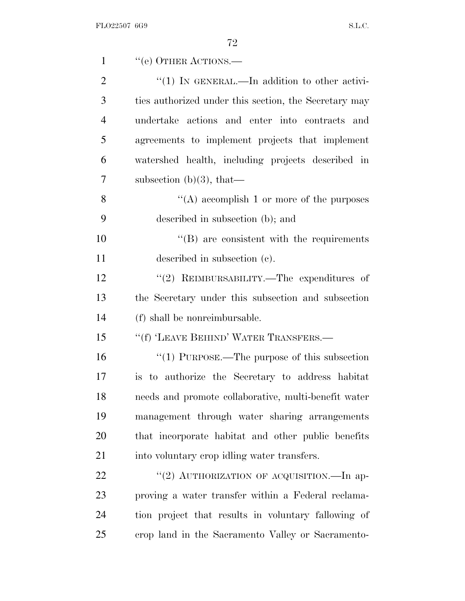| $\mathbf{1}$   | "(e) OTHER ACTIONS.—                                  |
|----------------|-------------------------------------------------------|
| $\overline{2}$ | "(1) IN GENERAL.—In addition to other activi-         |
| 3              | ties authorized under this section, the Secretary may |
| $\overline{4}$ | undertake actions and enter into contracts and        |
| 5              | agreements to implement projects that implement       |
| 6              | watershed health, including projects described in     |
| 7              | subsection $(b)(3)$ , that—                           |
| 8              | "(A) accomplish 1 or more of the purposes             |
| 9              | described in subsection (b); and                      |
| 10             | $\lq\lq (B)$ are consistent with the requirements     |
| 11             | described in subsection (c).                          |
| 12             | "(2) REIMBURSABILITY.—The expenditures of             |
| 13             | the Secretary under this subsection and subsection    |
| 14             | (f) shall be nonreimbursable.                         |
| 15             | "(f) 'LEAVE BEHIND' WATER TRANSFERS.—                 |
| 16             | "(1) PURPOSE.—The purpose of this subsection          |
| 17             | is to authorize the Secretary to address habitat      |
| 18             | needs and promote collaborative, multi-benefit water  |
| 19             | management through water sharing arrangements         |
| 20             | that incorporate habitat and other public benefits    |
| 21             | into voluntary crop idling water transfers.           |
| 22             | "(2) AUTHORIZATION OF ACQUISITION.—In ap-             |
| 23             | proving a water transfer within a Federal reclama-    |
| 24             | tion project that results in voluntary fallowing of   |
| 25             | erop land in the Sacramento Valley or Sacramento-     |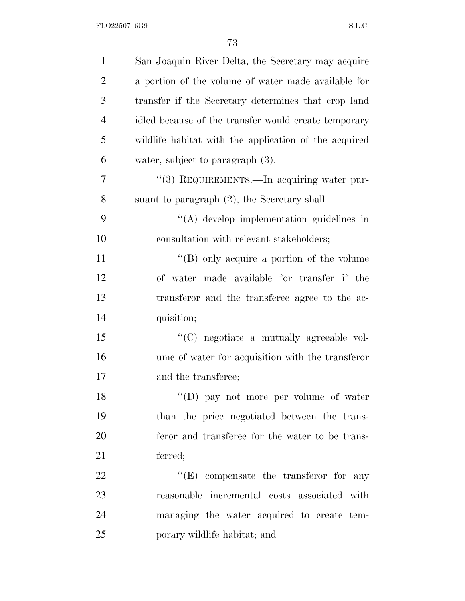| $\mathbf{1}$   | San Joaquin River Delta, the Secretary may acquire    |
|----------------|-------------------------------------------------------|
| $\overline{2}$ | a portion of the volume of water made available for   |
| 3              | transfer if the Secretary determines that crop land   |
| $\overline{4}$ | idled because of the transfer would create temporary  |
| 5              | wildlife habitat with the application of the acquired |
| 6              | water, subject to paragraph (3).                      |
| 7              | "(3) REQUIREMENTS.—In acquiring water pur-            |
| 8              | suant to paragraph $(2)$ , the Secretary shall—       |
| 9              | $\lq\lq$ develop implementation guidelines in         |
| 10             | consultation with relevant stakeholders;              |
| 11             | "(B) only acquire a portion of the volume             |
| 12             | of water made available for transfer if the           |
| 13             | transferor and the transferee agree to the ac-        |
| 14             | quisition;                                            |
| 15             | "(C) negotiate a mutually agreeable vol-              |
| 16             | ume of water for acquisition with the transferor      |
| 17             | and the transferee;                                   |
| 18             | "(D) pay not more per volume of water                 |
| 19             | than the price negotiated between the trans-          |
| 20             | feror and transferee for the water to be trans-       |
| 21             | ferred;                                               |
| 22             | $\lq\lq(E)$ compensate the transferor for any         |
| 23             | reasonable incremental costs associated with          |
| 24             | managing the water acquired to create tem-            |
| 25             | porary wildlife habitat; and                          |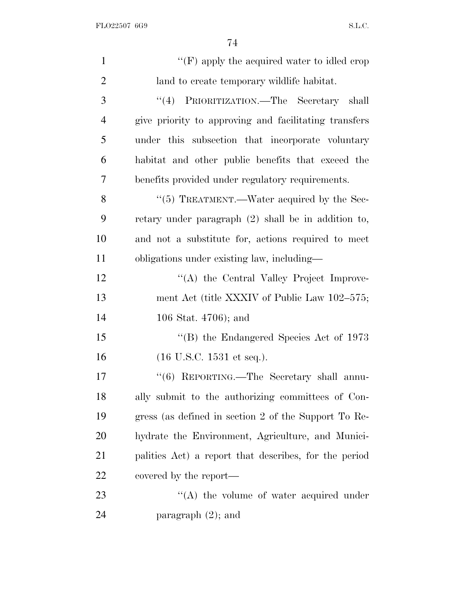| $\mathbf{1}$   | " $(F)$ apply the acquired water to idled crop        |
|----------------|-------------------------------------------------------|
| $\overline{2}$ | land to create temporary wildlife habitat.            |
| 3              | "(4) PRIORITIZATION.—The Secretary shall              |
| $\overline{4}$ | give priority to approving and facilitating transfers |
| 5              | under this subsection that incorporate voluntary      |
| 6              | habitat and other public benefits that exceed the     |
| 7              | benefits provided under regulatory requirements.      |
| 8              | $\lq(5)$ TREATMENT.—Water acquired by the Sec-        |
| 9              | retary under paragraph $(2)$ shall be in addition to, |
| 10             | and not a substitute for, actions required to meet    |
| 11             | obligations under existing law, including—            |
| 12             | "(A) the Central Valley Project Improve-              |
| 13             | ment Act (title XXXIV of Public Law 102–575;          |
| 14             | 106 Stat. $4706$ ; and                                |
| 15             | "(B) the Endangered Species Act of $1973$             |
| 16             | $(16 \text{ U.S.C. } 1531 \text{ et seq.}).$          |
| 17             | "(6) REPORTING.—The Secretary shall annu-             |
| 18             | ally submit to the authorizing committees of Con-     |
| 19             | gress (as defined in section 2 of the Support To Re-  |
| <b>20</b>      | hydrate the Environment, Agriculture, and Munici-     |
| 21             | palities Act) a report that describes, for the period |
| <u>22</u>      | covered by the report—                                |
| 23             | $\lq\lq$ the volume of water acquired under           |
| 24             | paragraph $(2)$ ; and                                 |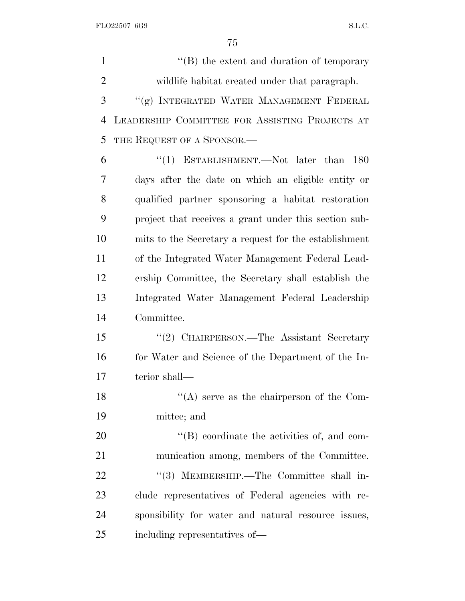1 ''(B) the extent and duration of temporary wildlife habitat created under that paragraph. ''(g) INTEGRATED WATER MANAGEMENT FEDERAL LEADERSHIP COMMITTEE FOR ASSISTING PROJECTS AT THE REQUEST OF A SPONSOR.— ''(1) ESTABLISHMENT.—Not later than 180 days after the date on which an eligible entity or qualified partner sponsoring a habitat restoration project that receives a grant under this section sub- mits to the Secretary a request for the establishment of the Integrated Water Management Federal Lead- ership Committee, the Secretary shall establish the Integrated Water Management Federal Leadership Committee. ''(2) CHAIRPERSON.—The Assistant Secretary 16 for Water and Science of the Department of the In- terior shall— 18 ''(A) serve as the chairperson of the Com- mittee; and  $\langle \text{``(B)} \rangle$  coordinate the activities of, and com- munication among, members of the Committee. 22 "(3) MEMBERSHIP.—The Committee shall in- clude representatives of Federal agencies with re- sponsibility for water and natural resource issues, including representatives of—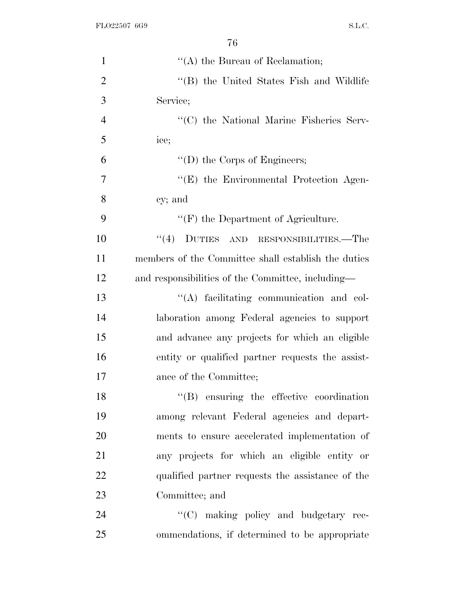| $\mathbf{1}$   | $\lq\lq$ the Bureau of Reclamation;                 |
|----------------|-----------------------------------------------------|
| $\overline{2}$ | "(B) the United States Fish and Wildlife            |
| 3              | Service;                                            |
| $\overline{4}$ | "(C) the National Marine Fisheries Serv-            |
| 5              | ice;                                                |
| 6              | $\lq\lq$ (D) the Corps of Engineers;                |
| 7              | "(E) the Environmental Protection Agen-             |
| 8              | cy; and                                             |
| 9              | $\lq\lq(F)$ the Department of Agriculture.          |
| 10             | $``(4)$ DUTIES AND RESPONSIBILITIES.—The            |
| 11             | members of the Committee shall establish the duties |
| 12             | and responsibilities of the Committee, including—   |
| 13             | "(A) facilitating communication and col-            |
| 14             | laboration among Federal agencies to support        |
| 15             | and advance any projects for which an eligible      |
| 16             | entity or qualified partner requests the assist-    |
| 17             | ance of the Committee;                              |
| 18             | $\lq\lq$ ensuring the effective coordination        |
| 19             | among relevant Federal agencies and depart-         |
| 20             | ments to ensure accelerated implementation of       |
| 21             | any projects for which an eligible entity or        |
| 22             | qualified partner requests the assistance of the    |
| 23             | Committee; and                                      |
| 24             | "(C) making policy and budgetary rec-               |
| 25             | ommendations, if determined to be appropriate       |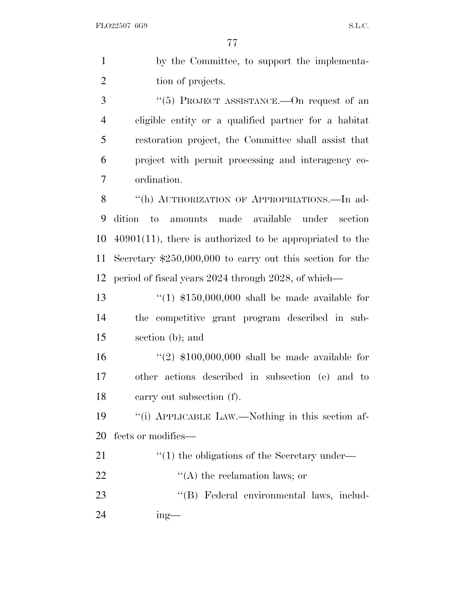by the Committee, to support the implementa-2 tion of projects. 3 "(5) PROJECT ASSISTANCE.—On request of an eligible entity or a qualified partner for a habitat restoration project, the Committee shall assist that project with permit processing and interagency co-

ordination.

8 "(h) AUTHORIZATION OF APPROPRIATIONS.—In ad- dition to amounts made available under section 40901(11), there is authorized to be appropriated to the Secretary \$250,000,000 to carry out this section for the period of fiscal years 2024 through 2028, of which—

 ''(1) \$150,000,000 shall be made available for the competitive grant program described in sub-section (b); and

 ''(2) \$100,000,000 shall be made available for other actions described in subsection (e) and to carry out subsection (f).

 ''(i) APPLICABLE LAW.—Nothing in this section af-fects or modifies—

- 21 ''(1) the obligations of the Secretary under—
- 22  $\langle (A)$  the reclamation laws; or
- 23 "'(B) Federal environmental laws, includ-
- ing—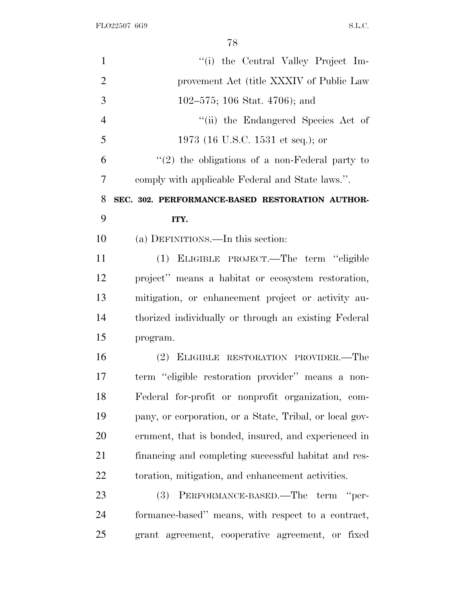| $\mathbf{1}$   | "(i) the Central Valley Project Im-                     |
|----------------|---------------------------------------------------------|
| $\overline{2}$ | provement Act (title XXXIV of Public Law                |
| 3              | 102–575; 106 Stat. 4706); and                           |
| $\overline{4}$ | "(ii) the Endangered Species Act of                     |
| 5              | 1973 (16 U.S.C. 1531 et seq.); or                       |
| 6              | $"(2)$ the obligations of a non-Federal party to        |
| 7              | comply with applicable Federal and State laws.".        |
| 8              | SEC. 302. PERFORMANCE-BASED RESTORATION AUTHOR-         |
| 9              | ITY.                                                    |
| 10             | (a) DEFINITIONS.—In this section:                       |
| 11             | (1) ELIGIBLE PROJECT.—The term "eligible                |
| 12             | project" means a habitat or ecosystem restoration,      |
| 13             | mitigation, or enhancement project or activity au-      |
| 14             | thorized individually or through an existing Federal    |
| 15             | program.                                                |
| 16             | (2) ELIGIBLE RESTORATION PROVIDER.—The                  |
| 17             | term "eligible restoration provider" means a non-       |
| 18             | Federal for-profit or nonprofit organization, com-      |
| 19             | pany, or corporation, or a State, Tribal, or local gov- |
| 20             | ernment, that is bonded, insured, and experienced in    |
| 21             | financing and completing successful habitat and res-    |
| 22             | toration, mitigation, and enhancement activities.       |
| 23             | PERFORMANCE-BASED.—The term "per-<br><b>(3)</b>         |
| 24             | formance-based" means, with respect to a contract,      |
| 25             | grant agreement, cooperative agreement, or fixed        |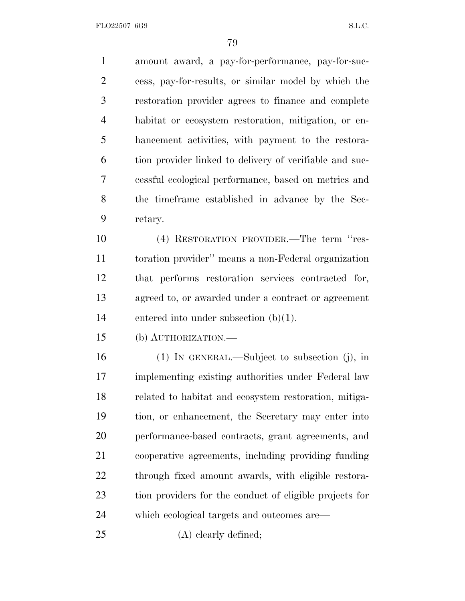amount award, a pay-for-performance, pay-for-suc- cess, pay-for-results, or similar model by which the restoration provider agrees to finance and complete habitat or ecosystem restoration, mitigation, or en- hancement activities, with payment to the restora- tion provider linked to delivery of verifiable and suc- cessful ecological performance, based on metrics and the timeframe established in advance by the Sec- retary. (4) RESTORATION PROVIDER.—The term ''res-

 toration provider'' means a non-Federal organization that performs restoration services contracted for, agreed to, or awarded under a contract or agreement entered into under subsection (b)(1).

(b) AUTHORIZATION.—

 (1) IN GENERAL.—Subject to subsection (j), in implementing existing authorities under Federal law related to habitat and ecosystem restoration, mitiga- tion, or enhancement, the Secretary may enter into performance-based contracts, grant agreements, and cooperative agreements, including providing funding through fixed amount awards, with eligible restora- tion providers for the conduct of eligible projects for which ecological targets and outcomes are—

(A) clearly defined;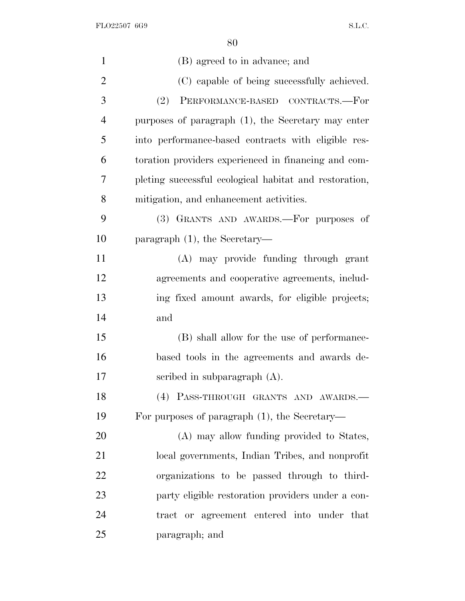| $\mathbf{1}$   | (B) agreed to in advance; and                          |
|----------------|--------------------------------------------------------|
| $\overline{2}$ | (C) capable of being successfully achieved.            |
| 3              | (2)<br>PERFORMANCE-BASED CONTRACTS.-For                |
| $\overline{4}$ | purposes of paragraph $(1)$ , the Secretary may enter  |
| 5              | into performance-based contracts with eligible res-    |
| 6              | toration providers experienced in financing and com-   |
| 7              | pleting successful ecological habitat and restoration, |
| 8              | mitigation, and enhancement activities.                |
| 9              | (3) GRANTS AND AWARDS.—For purposes of                 |
| 10             | paragraph $(1)$ , the Secretary—                       |
| 11             | (A) may provide funding through grant                  |
| 12             | agreements and cooperative agreements, includ-         |
| 13             | ing fixed amount awards, for eligible projects;        |
| 14             | and                                                    |
| 15             | (B) shall allow for the use of performance-            |
| 16             | based tools in the agreements and awards de-           |
| 17             | scribed in subparagraph $(A)$ .                        |
| 18             | (4) PASS-THROUGH GRANTS AND AWARDS.-                   |
| 19             | For purposes of paragraph (1), the Secretary—          |
| 20             | (A) may allow funding provided to States,              |
| 21             | local governments, Indian Tribes, and nonprofit        |
| 22             | organizations to be passed through to third-           |
| 23             | party eligible restoration providers under a con-      |
| 24             | tract or agreement entered into under that             |
| 25             | paragraph; and                                         |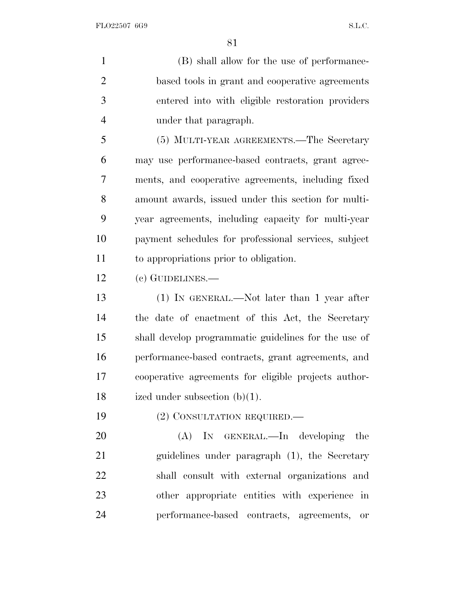(B) shall allow for the use of performance- based tools in grant and cooperative agreements entered into with eligible restoration providers under that paragraph.

 (5) MULTI-YEAR AGREEMENTS.—The Secretary may use performance-based contracts, grant agree- ments, and cooperative agreements, including fixed amount awards, issued under this section for multi- year agreements, including capacity for multi-year payment schedules for professional services, subject to appropriations prior to obligation.

(c) GUIDELINES.—

 (1) IN GENERAL.—Not later than 1 year after the date of enactment of this Act, the Secretary shall develop programmatic guidelines for the use of performance-based contracts, grant agreements, and cooperative agreements for eligible projects author-ized under subsection (b)(1).

19 (2) CONSULTATION REQUIRED.—

20 (A) IN GENERAL.—In developing the guidelines under paragraph (1), the Secretary shall consult with external organizations and other appropriate entities with experience in performance-based contracts, agreements, or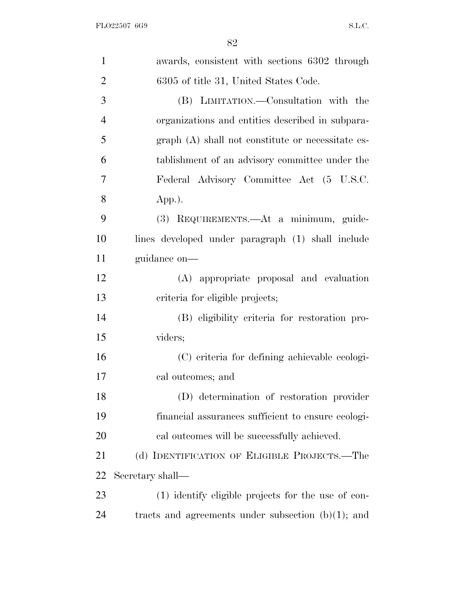| $\mathbf{1}$   | awards, consistent with sections 6302 through         |
|----------------|-------------------------------------------------------|
| $\overline{2}$ | 6305 of title 31, United States Code.                 |
| 3              | (B) LIMITATION.—Consultation with the                 |
| $\overline{4}$ | organizations and entities described in subpara-      |
| 5              | $graph(A)$ shall not constitute or necessitate es-    |
| 6              | tablishment of an advisory committee under the        |
| 7              | Federal Advisory Committee Act (5 U.S.C.              |
| 8              | $App.$ ).                                             |
| 9              | (3) REQUIREMENTS.—At a minimum, guide-                |
| 10             | lines developed under paragraph (1) shall include     |
| 11             | guidance on-                                          |
| 12             | (A) appropriate proposal and evaluation               |
| 13             | criteria for eligible projects;                       |
| 14             | (B) eligibility criteria for restoration pro-         |
| 15             | viders;                                               |
| 16             | (C) criteria for defining achievable ecologi-         |
| 17             | cal outcomes; and                                     |
| 18             | (D) determination of restoration provider             |
| 19             | financial assurances sufficient to ensure ecologi-    |
| 20             | cal outcomes will be successfully achieved.           |
| 21             | (d) IDENTIFICATION OF ELIGIBLE PROJECTS.—The          |
| 22             | Secretary shall—                                      |
| 23             | (1) identify eligible projects for the use of con-    |
| 24             | tracts and agreements under subsection $(b)(1)$ ; and |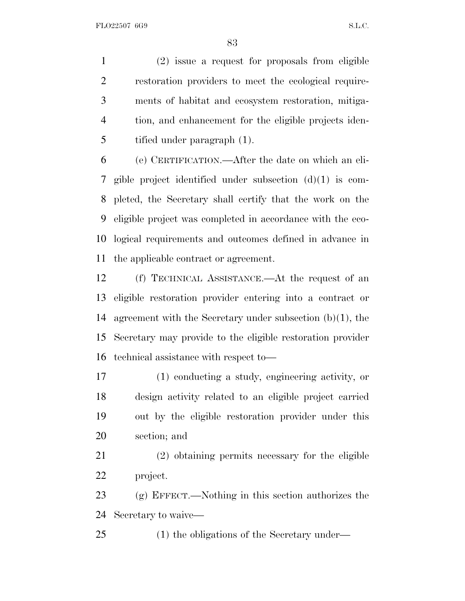(2) issue a request for proposals from eligible restoration providers to meet the ecological require- ments of habitat and ecosystem restoration, mitiga- tion, and enhancement for the eligible projects iden-tified under paragraph (1).

 (e) CERTIFICATION.—After the date on which an eli- gible project identified under subsection (d)(1) is com- pleted, the Secretary shall certify that the work on the eligible project was completed in accordance with the eco- logical requirements and outcomes defined in advance in the applicable contract or agreement.

 (f) TECHNICAL ASSISTANCE.—At the request of an eligible restoration provider entering into a contract or agreement with the Secretary under subsection (b)(1), the Secretary may provide to the eligible restoration provider technical assistance with respect to—

 (1) conducting a study, engineering activity, or design activity related to an eligible project carried out by the eligible restoration provider under this section; and

 (2) obtaining permits necessary for the eligible project.

 (g) EFFECT.—Nothing in this section authorizes the Secretary to waive—

(1) the obligations of the Secretary under—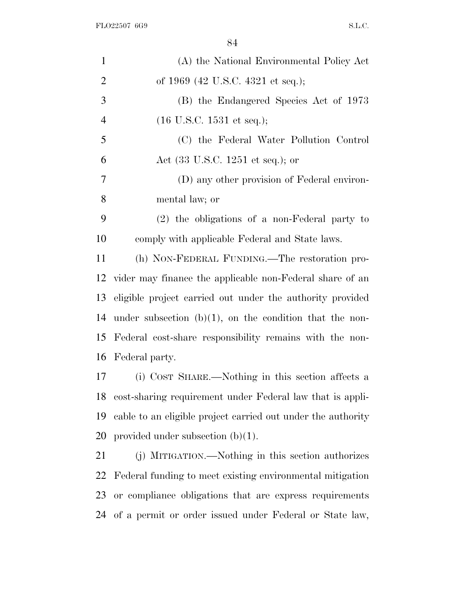| $\mathbf{1}$   | (A) the National Environmental Policy Act                    |
|----------------|--------------------------------------------------------------|
| $\overline{2}$ | of 1969 (42 U.S.C. 4321 et seq.);                            |
| 3              | (B) the Endangered Species Act of 1973                       |
| $\overline{4}$ | $(16 \text{ U.S.C. } 1531 \text{ et seq.});$                 |
| 5              | (C) the Federal Water Pollution Control                      |
| 6              | Act (33 U.S.C. 1251 et seq.); or                             |
| $\tau$         | (D) any other provision of Federal environ-                  |
| 8              | mental law; or                                               |
| 9              | $(2)$ the obligations of a non-Federal party to              |
| 10             | comply with applicable Federal and State laws.               |
| 11             | (h) NON-FEDERAL FUNDING.—The restoration pro-                |
| 12             | vider may finance the applicable non-Federal share of an     |
| 13             | eligible project carried out under the authority provided    |
| 14             | under subsection $(b)(1)$ , on the condition that the non-   |
| 15             | Federal cost-share responsibility remains with the non-      |
| 16             | Federal party.                                               |
| 17             | (i) COST SHARE.—Nothing in this section affects a            |
| 18             | cost-sharing requirement under Federal law that is appli-    |
| 19             | cable to an eligible project carried out under the authority |
| 20             | provided under subsection $(b)(1)$ .                         |
| 21             | (j) MITIGATION.—Nothing in this section authorizes           |
| 22             | Federal funding to meet existing environmental mitigation    |
| 23             | or compliance obligations that are express requirements      |
| 24             | of a permit or order issued under Federal or State law,      |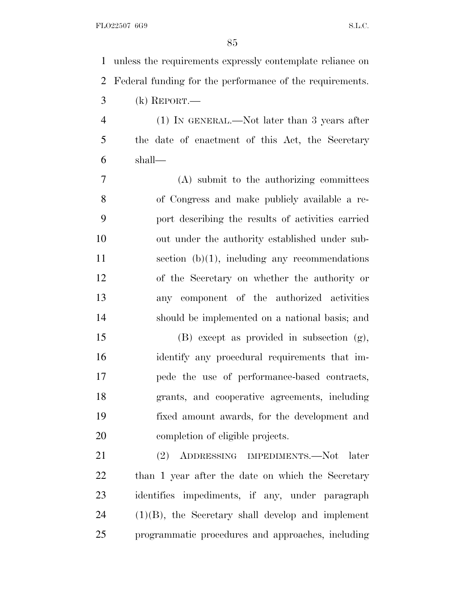unless the requirements expressly contemplate reliance on Federal funding for the performance of the requirements. (k) REPORT.—

 (1) IN GENERAL.—Not later than 3 years after the date of enactment of this Act, the Secretary shall—

 (A) submit to the authorizing committees of Congress and make publicly available a re- port describing the results of activities carried out under the authority established under sub- section (b)(1), including any recommendations of the Secretary on whether the authority or any component of the authorized activities should be implemented on a national basis; and

 (B) except as provided in subsection (g), identify any procedural requirements that im- pede the use of performance-based contracts, grants, and cooperative agreements, including fixed amount awards, for the development and completion of eligible projects.

 (2) ADDRESSING IMPEDIMENTS.—Not later than 1 year after the date on which the Secretary identifies impediments, if any, under paragraph (1)(B), the Secretary shall develop and implement programmatic procedures and approaches, including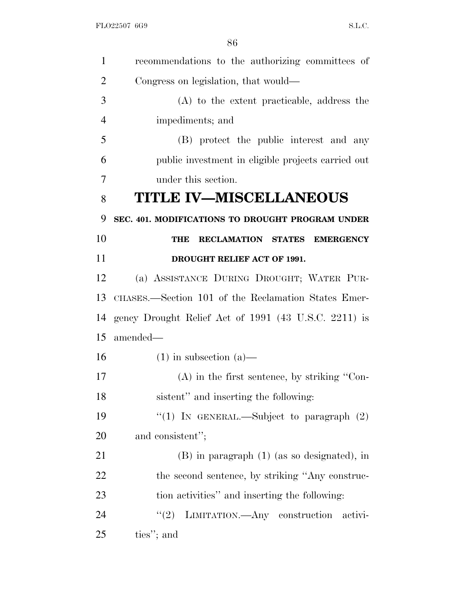| $\mathbf{1}$   | recommendations to the authorizing committees of     |
|----------------|------------------------------------------------------|
| $\overline{2}$ | Congress on legislation, that would—                 |
| 3              | (A) to the extent practicable, address the           |
| $\overline{4}$ | impediments; and                                     |
| 5              | (B) protect the public interest and any              |
| 6              | public investment in eligible projects carried out   |
| 7              | under this section.                                  |
| 8              | <b>TITLE IV-MISCELLANEOUS</b>                        |
| 9              | SEC. 401. MODIFICATIONS TO DROUGHT PROGRAM UNDER     |
| 10             | <b>RECLAMATION STATES</b><br><b>EMERGENCY</b><br>THE |
| 11             | DROUGHT RELIEF ACT OF 1991.                          |
| 12             | (a) ASSISTANCE DURING DROUGHT; WATER PUR-            |
| 13             | CHASES.—Section 101 of the Reclamation States Emer-  |
| 14             | gency Drought Relief Act of 1991 (43 U.S.C. 2211) is |
| 15             | amended—                                             |
| 16             | $(1)$ in subsection $(a)$ —                          |
| 17             | $(A)$ in the first sentence, by striking "Con-       |
| 18             | sistent" and inserting the following:                |
| 19             | "(1) IN GENERAL.—Subject to paragraph $(2)$          |
| 20             | and consistent";                                     |
| 21             | $(B)$ in paragraph $(1)$ (as so designated), in      |
| 22             | the second sentence, by striking "Any construc-      |
| 23             | tion activities" and inserting the following:        |
| 24             | (2)<br>LIMITATION.—Any construction activi-          |
| 25             | ties"; and                                           |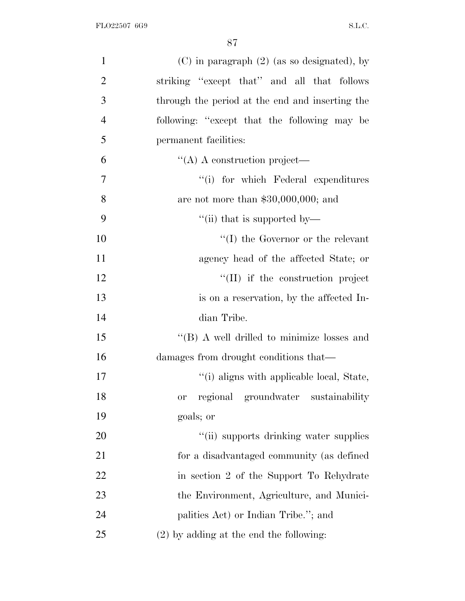| $\mathbf{1}$   | $(C)$ in paragraph $(2)$ (as so designated), by |
|----------------|-------------------------------------------------|
| $\overline{2}$ | striking "except that" and all that follows     |
| 3              | through the period at the end and inserting the |
| $\overline{4}$ | following: "except that the following may be    |
| 5              | permanent facilities:                           |
| 6              | $\lq\lq$ A construction project—                |
| $\overline{7}$ | "(i) for which Federal expenditures             |
| 8              | are not more than $$30,000,000$ ; and           |
| 9              | "(ii) that is supported by—                     |
| 10             | $\lq\lq$ (I) the Governor or the relevant       |
| 11             | agency head of the affected State; or           |
| 12             | "(II) if the construction project               |
| 13             | is on a reservation, by the affected In-        |
| 14             | dian Tribe.                                     |
| 15             | "(B) A well drilled to minimize losses and      |
| 16             | damages from drought conditions that—           |
| 17             | "(i) aligns with applicable local, State,       |
| 18             | regional groundwater sustainability<br>or       |
| 19             | goals; or                                       |
| 20             | "(ii) supports drinking water supplies          |
| 21             | for a disadvantaged community (as defined       |
| 22             | in section 2 of the Support To Rehydrate        |
| 23             | the Environment, Agriculture, and Munici-       |
| 24             | palities Act) or Indian Tribe."; and            |
| 25             | $(2)$ by adding at the end the following:       |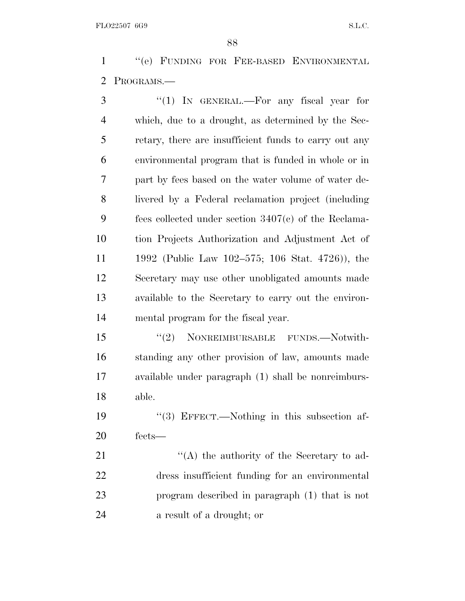''(e) FUNDING FOR FEE-BASED ENVIRONMENTAL PROGRAMS.—

3 "(1) In GENERAL.—For any fiscal year for which, due to a drought, as determined by the Sec- retary, there are insufficient funds to carry out any environmental program that is funded in whole or in part by fees based on the water volume of water de- livered by a Federal reclamation project (including fees collected under section 3407(c) of the Reclama- tion Projects Authorization and Adjustment Act of 1992 (Public Law 102–575; 106 Stat. 4726)), the Secretary may use other unobligated amounts made available to the Secretary to carry out the environ-mental program for the fiscal year.

 ''(2) NONREIMBURSABLE FUNDS.—Notwith- standing any other provision of law, amounts made available under paragraph (1) shall be nonreimburs-able.

 ''(3) EFFECT.—Nothing in this subsection af-fects—

21 ''(A) the authority of the Secretary to ad- dress insufficient funding for an environmental program described in paragraph (1) that is not a result of a drought; or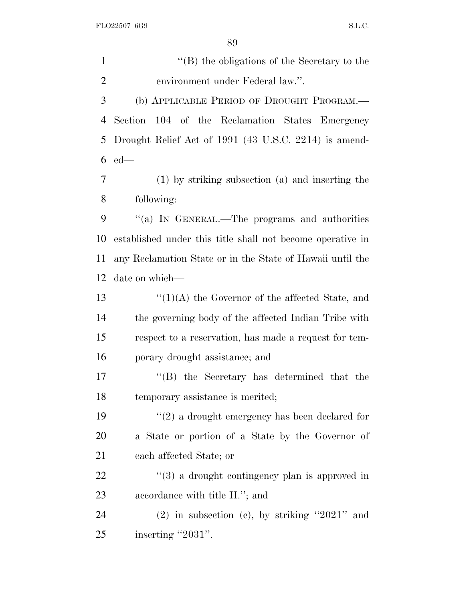''(B) the obligations of the Secretary to the environment under Federal law.''. (b) APPLICABLE PERIOD OF DROUGHT PROGRAM.— Section 104 of the Reclamation States Emergency Drought Relief Act of 1991 (43 U.S.C. 2214) is amend- ed— (1) by striking subsection (a) and inserting the following: ''(a) I<sup>N</sup> GENERAL.—The programs and authorities established under this title shall not become operative in any Reclamation State or in the State of Hawaii until the date on which—  $\frac{13}{2}$   $\frac{13}{2}$   $\frac{13}{2}$  the Governor of the affected State, and the governing body of the affected Indian Tribe with respect to a reservation, has made a request for tem- porary drought assistance; and ''(B) the Secretary has determined that the temporary assistance is merited; ''(2) a drought emergency has been declared for a State or portion of a State by the Governor of each affected State; or 22 ''(3) a drought contingency plan is approved in accordance with title II.''; and (2) in subsection (c), by striking ''2021'' and

25 inserting "2031".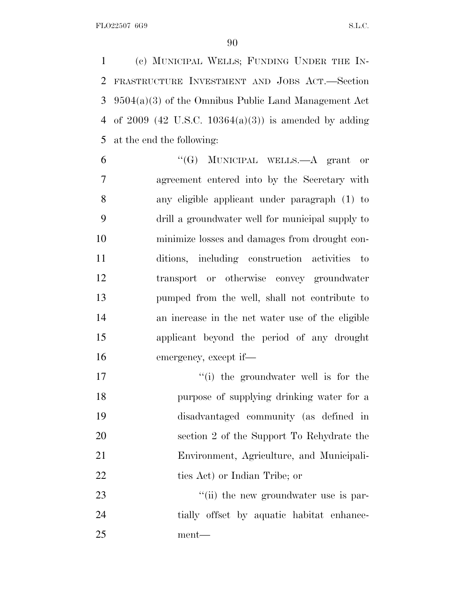(c) MUNICIPAL WELLS; FUNDING UNDER THE IN- FRASTRUCTURE INVESTMENT AND JOBS ACT.—Section 9504(a)(3) of the Omnibus Public Land Management Act of 2009 (42 U.S.C. 10364(a)(3)) is amended by adding at the end the following:

 ''(G) MUNICIPAL WELLS.—A grant or agreement entered into by the Secretary with any eligible applicant under paragraph (1) to drill a groundwater well for municipal supply to minimize losses and damages from drought con- ditions, including construction activities to transport or otherwise convey groundwater pumped from the well, shall not contribute to an increase in the net water use of the eligible applicant beyond the period of any drought emergency, except if—

 $\frac{1}{10}$  the groundwater well is for the purpose of supplying drinking water for a disadvantaged community (as defined in section 2 of the Support To Rehydrate the Environment, Agriculture, and Municipali-22 ties Act) or Indian Tribe; or

23  $\frac{1}{1}$  the new groundwater use is par- tially offset by aquatic habitat enhance-ment—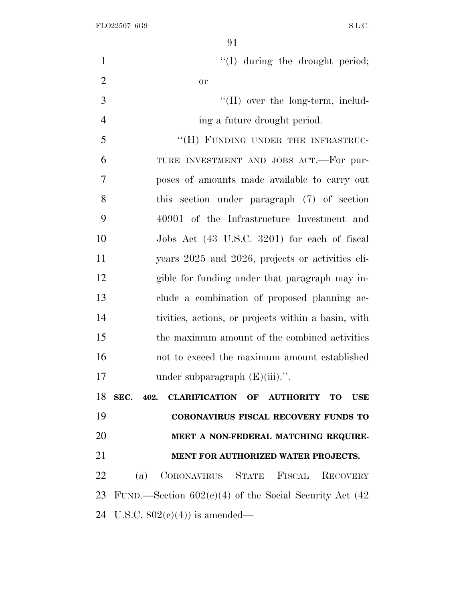| $\mathbf{1}$   | "(I) during the drought period;                           |
|----------------|-----------------------------------------------------------|
| $\overline{2}$ | <b>or</b>                                                 |
| 3              | $\lq\lq$ (II) over the long-term, includ-                 |
| $\overline{4}$ | ing a future drought period.                              |
| 5              | "(H) FUNDING UNDER THE INFRASTRUC-                        |
| 6              | TURE INVESTMENT AND JOBS ACT.—For pur-                    |
| $\overline{7}$ | poses of amounts made available to carry out              |
| 8              | this section under paragraph (7) of section               |
| 9              | 40901 of the Infrastructure Investment and                |
| 10             | Jobs Act (43 U.S.C. 3201) for each of fiscal              |
| 11             | years 2025 and 2026, projects or activities eli-          |
| 12             | gible for funding under that paragraph may in-            |
| 13             | clude a combination of proposed planning ac-              |
| 14             | tivities, actions, or projects within a basin, with       |
| 15             | the maximum amount of the combined activities             |
| 16             | not to exceed the maximum amount established              |
| 17             | under subparagraph $(E)(iii)$ .".                         |
| 18             | SEC. 402. CLARIFICATION OF AUTHORITY TO<br><b>USE</b>     |
| 19             | <b>CORONAVIRUS FISCAL RECOVERY FUNDS TO</b>               |
| 20             | MEET A NON-FEDERAL MATCHING REQUIRE-                      |
| 21             | MENT FOR AUTHORIZED WATER PROJECTS.                       |
| 22             | (a) CORONAVIRUS STATE FISCAL<br><b>RECOVERY</b>           |
| 23             | FUND.—Section $602(c)(4)$ of the Social Security Act (42) |
|                | 24 U.S.C. $802(e)(4)$ is amended—                         |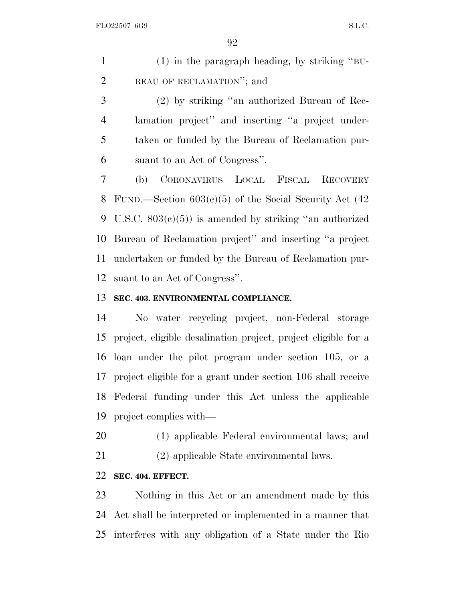(1) in the paragraph heading, by striking ''BU- REAU OF RECLAMATION''; and (2) by striking ''an authorized Bureau of Rec-lamation project'' and inserting ''a project under-

 taken or funded by the Bureau of Reclamation pur-suant to an Act of Congress''.

 (b) CORONAVIRUS LOCAL FISCAL RECOVERY FUND.—Section 603(c)(5) of the Social Security Act (42 U.S.C. 803(c)(5)) is amended by striking ''an authorized Bureau of Reclamation project'' and inserting ''a project undertaken or funded by the Bureau of Reclamation pur-suant to an Act of Congress''.

## **SEC. 403. ENVIRONMENTAL COMPLIANCE.**

 No water recycling project, non-Federal storage project, eligible desalination project, project eligible for a loan under the pilot program under section 105, or a project eligible for a grant under section 106 shall receive Federal funding under this Act unless the applicable project complies with—

(1) applicable Federal environmental laws; and

(2) applicable State environmental laws.

## **SEC. 404. EFFECT.**

 Nothing in this Act or an amendment made by this Act shall be interpreted or implemented in a manner that interferes with any obligation of a State under the Rio